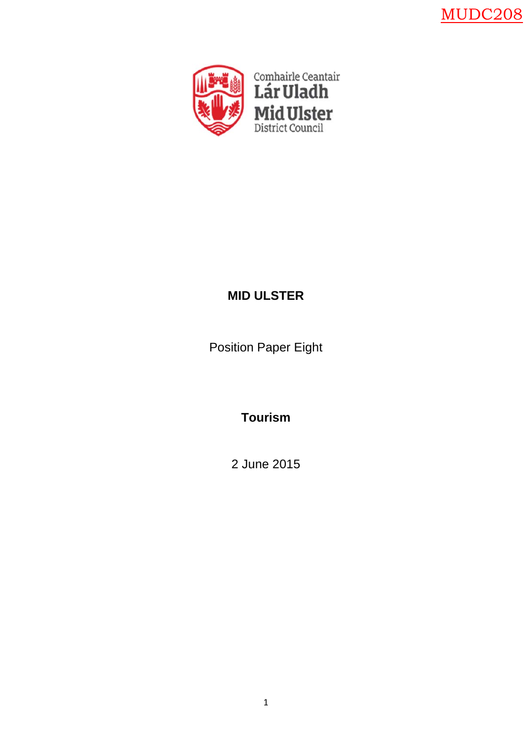MUDC208



# **MID ULSTER**

Position Paper Eight

**Tourism** 

2 June 2015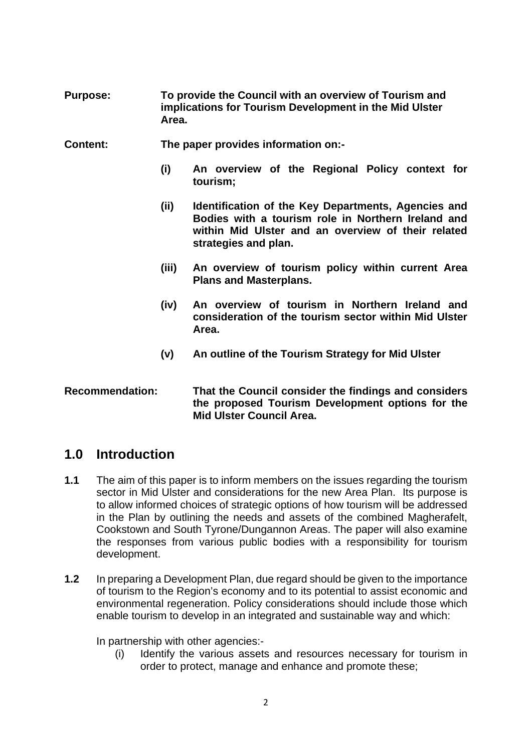- **Purpose: To provide the Council with an overview of Tourism and implications for Tourism Development in the Mid Ulster Area.**
- **Content: The paper provides information on:-** 
	- **(i) An overview of the Regional Policy context for tourism;**
	- **(ii) Identification of the Key Departments, Agencies and Bodies with a tourism role in Northern Ireland and within Mid Ulster and an overview of their related strategies and plan.**
	- **(iii) An overview of tourism policy within current Area Plans and Masterplans.**
	- **(iv) An overview of tourism in Northern Ireland and consideration of the tourism sector within Mid Ulster Area.**
	- **(v) An outline of the Tourism Strategy for Mid Ulster**

## **Recommendation: That the Council consider the findings and considers the proposed Tourism Development options for the Mid Ulster Council Area.**

## **1.0 Introduction**

- **1.1** The aim of this paper is to inform members on the issues regarding the tourism sector in Mid Ulster and considerations for the new Area Plan. Its purpose is to allow informed choices of strategic options of how tourism will be addressed in the Plan by outlining the needs and assets of the combined Magherafelt, Cookstown and South Tyrone/Dungannon Areas. The paper will also examine the responses from various public bodies with a responsibility for tourism development.
- **1.2** In preparing a Development Plan, due regard should be given to the importance of tourism to the Region's economy and to its potential to assist economic and environmental regeneration. Policy considerations should include those which enable tourism to develop in an integrated and sustainable way and which:

In partnership with other agencies:-

(i) Identify the various assets and resources necessary for tourism in order to protect, manage and enhance and promote these;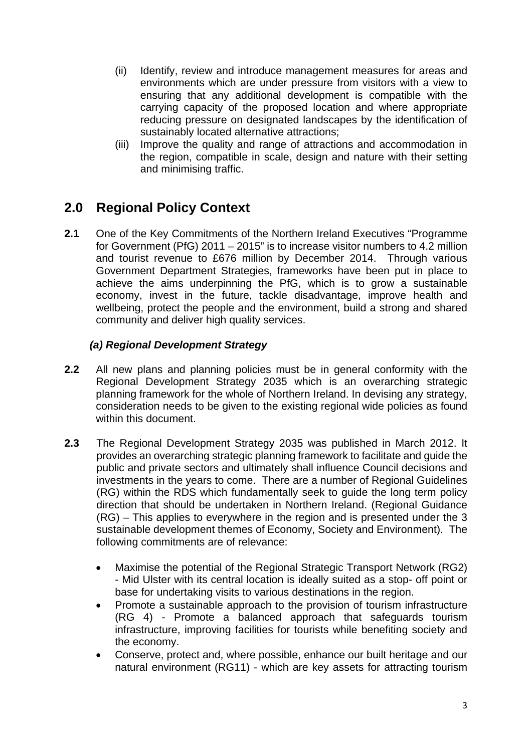- (ii) Identify, review and introduce management measures for areas and environments which are under pressure from visitors with a view to ensuring that any additional development is compatible with the carrying capacity of the proposed location and where appropriate reducing pressure on designated landscapes by the identification of sustainably located alternative attractions;
- (iii) Improve the quality and range of attractions and accommodation in the region, compatible in scale, design and nature with their setting and minimising traffic.

# **2.0 Regional Policy Context**

**2.1** One of the Key Commitments of the Northern Ireland Executives "Programme for Government (PfG) 2011 – 2015" is to increase visitor numbers to 4.2 million and tourist revenue to £676 million by December 2014. Through various Government Department Strategies, frameworks have been put in place to achieve the aims underpinning the PfG, which is to grow a sustainable economy, invest in the future, tackle disadvantage, improve health and wellbeing, protect the people and the environment, build a strong and shared community and deliver high quality services.

## *(a) Regional Development Strategy*

- **2.2** All new plans and planning policies must be in general conformity with the Regional Development Strategy 2035 which is an overarching strategic planning framework for the whole of Northern Ireland. In devising any strategy, consideration needs to be given to the existing regional wide policies as found within this document.
- **2.3** The Regional Development Strategy 2035 was published in March 2012. It provides an overarching strategic planning framework to facilitate and guide the public and private sectors and ultimately shall influence Council decisions and investments in the years to come. There are a number of Regional Guidelines (RG) within the RDS which fundamentally seek to guide the long term policy direction that should be undertaken in Northern Ireland. (Regional Guidance (RG) – This applies to everywhere in the region and is presented under the 3 sustainable development themes of Economy, Society and Environment). The following commitments are of relevance:
	- Maximise the potential of the Regional Strategic Transport Network (RG2) - Mid Ulster with its central location is ideally suited as a stop- off point or base for undertaking visits to various destinations in the region.
	- Promote a sustainable approach to the provision of tourism infrastructure (RG 4) - Promote a balanced approach that safeguards tourism infrastructure, improving facilities for tourists while benefiting society and the economy.
	- Conserve, protect and, where possible, enhance our built heritage and our natural environment (RG11) - which are key assets for attracting tourism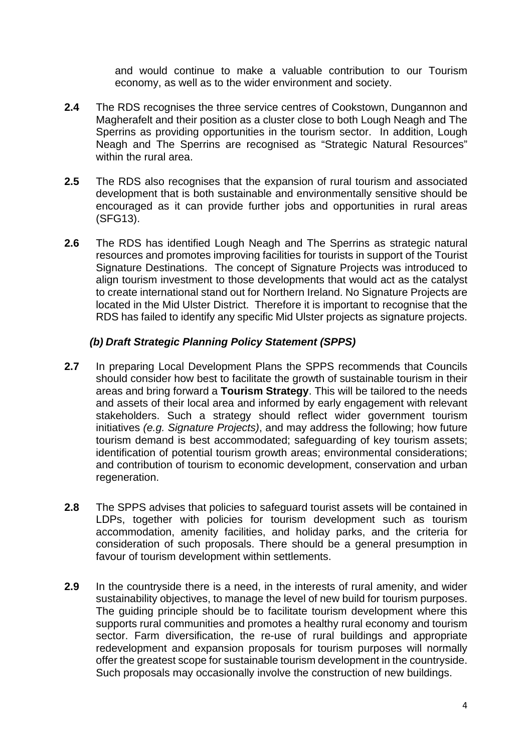and would continue to make a valuable contribution to our Tourism economy, as well as to the wider environment and society.

- **2.4** The RDS recognises the three service centres of Cookstown, Dungannon and Magherafelt and their position as a cluster close to both Lough Neagh and The Sperrins as providing opportunities in the tourism sector. In addition, Lough Neagh and The Sperrins are recognised as "Strategic Natural Resources" within the rural area.
- **2.5** The RDS also recognises that the expansion of rural tourism and associated development that is both sustainable and environmentally sensitive should be encouraged as it can provide further jobs and opportunities in rural areas (SFG13).
- **2.6** The RDS has identified Lough Neagh and The Sperrins as strategic natural resources and promotes improving facilities for tourists in support of the Tourist Signature Destinations. The concept of Signature Projects was introduced to align tourism investment to those developments that would act as the catalyst to create international stand out for Northern Ireland. No Signature Projects are located in the Mid Ulster District. Therefore it is important to recognise that the RDS has failed to identify any specific Mid Ulster projects as signature projects.

## *(b) Draft Strategic Planning Policy Statement (SPPS)*

- **2.7** In preparing Local Development Plans the SPPS recommends that Councils should consider how best to facilitate the growth of sustainable tourism in their areas and bring forward a **Tourism Strategy**. This will be tailored to the needs and assets of their local area and informed by early engagement with relevant stakeholders. Such a strategy should reflect wider government tourism initiatives *(e.g. Signature Projects)*, and may address the following; how future tourism demand is best accommodated; safeguarding of key tourism assets; identification of potential tourism growth areas; environmental considerations; and contribution of tourism to economic development, conservation and urban regeneration.
- **2.8** The SPPS advises that policies to safeguard tourist assets will be contained in LDPs, together with policies for tourism development such as tourism accommodation, amenity facilities, and holiday parks, and the criteria for consideration of such proposals. There should be a general presumption in favour of tourism development within settlements.
- **2.9** In the countryside there is a need, in the interests of rural amenity, and wider sustainability objectives, to manage the level of new build for tourism purposes. The guiding principle should be to facilitate tourism development where this supports rural communities and promotes a healthy rural economy and tourism sector. Farm diversification, the re-use of rural buildings and appropriate redevelopment and expansion proposals for tourism purposes will normally offer the greatest scope for sustainable tourism development in the countryside. Such proposals may occasionally involve the construction of new buildings.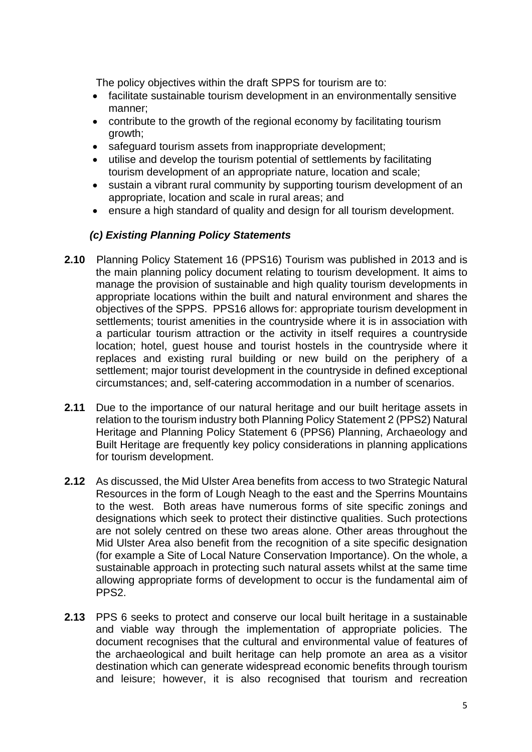The policy objectives within the draft SPPS for tourism are to:

- facilitate sustainable tourism development in an environmentally sensitive manner;
- contribute to the growth of the regional economy by facilitating tourism growth;
- safeguard tourism assets from inappropriate development;
- utilise and develop the tourism potential of settlements by facilitating tourism development of an appropriate nature, location and scale;
- sustain a vibrant rural community by supporting tourism development of an appropriate, location and scale in rural areas; and
- ensure a high standard of quality and design for all tourism development.

## *(c) Existing Planning Policy Statements*

- **2.10** Planning Policy Statement 16 (PPS16) Tourism was published in 2013 and is the main planning policy document relating to tourism development. It aims to manage the provision of sustainable and high quality tourism developments in appropriate locations within the built and natural environment and shares the objectives of the SPPS. PPS16 allows for: appropriate tourism development in settlements; tourist amenities in the countryside where it is in association with a particular tourism attraction or the activity in itself requires a countryside location; hotel, guest house and tourist hostels in the countryside where it replaces and existing rural building or new build on the periphery of a settlement; major tourist development in the countryside in defined exceptional circumstances; and, self-catering accommodation in a number of scenarios.
- **2.11** Due to the importance of our natural heritage and our built heritage assets in relation to the tourism industry both Planning Policy Statement 2 (PPS2) Natural Heritage and Planning Policy Statement 6 (PPS6) Planning, Archaeology and Built Heritage are frequently key policy considerations in planning applications for tourism development.
- **2.12** As discussed, the Mid Ulster Area benefits from access to two Strategic Natural Resources in the form of Lough Neagh to the east and the Sperrins Mountains to the west. Both areas have numerous forms of site specific zonings and designations which seek to protect their distinctive qualities. Such protections are not solely centred on these two areas alone. Other areas throughout the Mid Ulster Area also benefit from the recognition of a site specific designation (for example a Site of Local Nature Conservation Importance). On the whole, a sustainable approach in protecting such natural assets whilst at the same time allowing appropriate forms of development to occur is the fundamental aim of PPS2.
- **2.13** PPS 6 seeks to protect and conserve our local built heritage in a sustainable and viable way through the implementation of appropriate policies. The document recognises that the cultural and environmental value of features of the archaeological and built heritage can help promote an area as a visitor destination which can generate widespread economic benefits through tourism and leisure; however, it is also recognised that tourism and recreation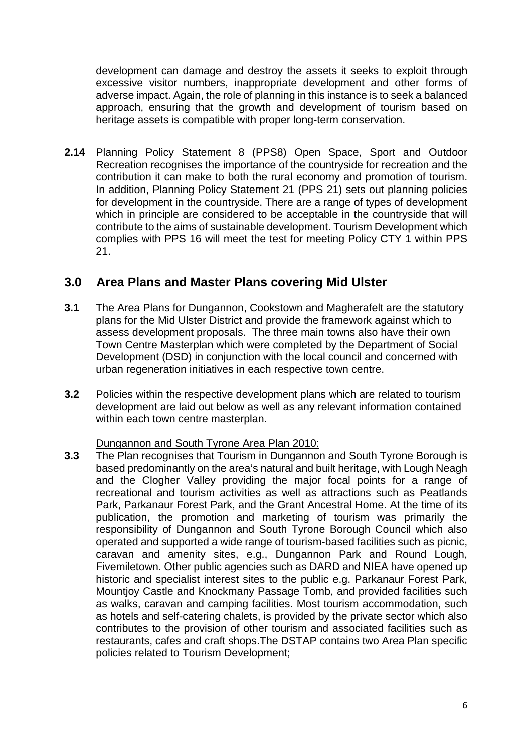development can damage and destroy the assets it seeks to exploit through excessive visitor numbers, inappropriate development and other forms of adverse impact. Again, the role of planning in this instance is to seek a balanced approach, ensuring that the growth and development of tourism based on heritage assets is compatible with proper long-term conservation.

**2.14** Planning Policy Statement 8 (PPS8) Open Space, Sport and Outdoor Recreation recognises the importance of the countryside for recreation and the contribution it can make to both the rural economy and promotion of tourism. In addition, Planning Policy Statement 21 (PPS 21) sets out planning policies for development in the countryside. There are a range of types of development which in principle are considered to be acceptable in the countryside that will contribute to the aims of sustainable development. Tourism Development which complies with PPS 16 will meet the test for meeting Policy CTY 1 within PPS 21.

## **3.0 Area Plans and Master Plans covering Mid Ulster**

- **3.1** The Area Plans for Dungannon, Cookstown and Magherafelt are the statutory plans for the Mid Ulster District and provide the framework against which to assess development proposals. The three main towns also have their own Town Centre Masterplan which were completed by the Department of Social Development (DSD) in conjunction with the local council and concerned with urban regeneration initiatives in each respective town centre.
- **3.2** Policies within the respective development plans which are related to tourism development are laid out below as well as any relevant information contained within each town centre masterplan.

## Dungannon and South Tyrone Area Plan 2010:

**3.3** The Plan recognises that Tourism in Dungannon and South Tyrone Borough is based predominantly on the area's natural and built heritage, with Lough Neagh and the Clogher Valley providing the major focal points for a range of recreational and tourism activities as well as attractions such as Peatlands Park, Parkanaur Forest Park, and the Grant Ancestral Home. At the time of its publication, the promotion and marketing of tourism was primarily the responsibility of Dungannon and South Tyrone Borough Council which also operated and supported a wide range of tourism-based facilities such as picnic, caravan and amenity sites, e.g., Dungannon Park and Round Lough, Fivemiletown. Other public agencies such as DARD and NIEA have opened up historic and specialist interest sites to the public e.g. Parkanaur Forest Park, Mountjoy Castle and Knockmany Passage Tomb, and provided facilities such as walks, caravan and camping facilities. Most tourism accommodation, such as hotels and self-catering chalets, is provided by the private sector which also contributes to the provision of other tourism and associated facilities such as restaurants, cafes and craft shops.The DSTAP contains two Area Plan specific policies related to Tourism Development;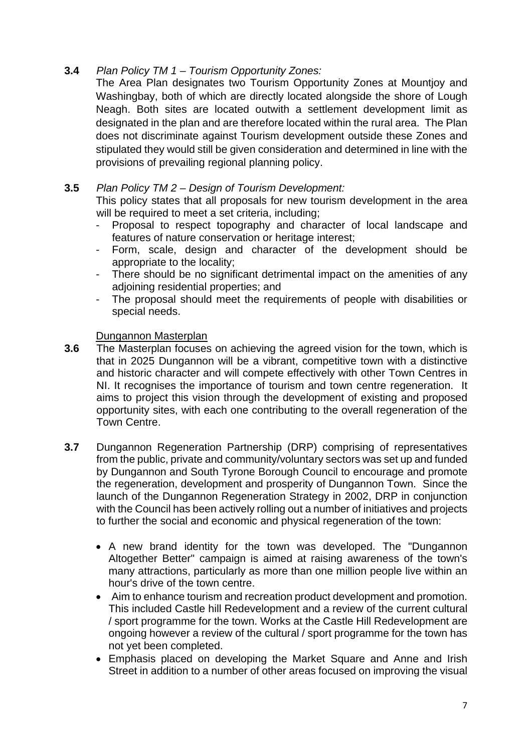## **3.4** *Plan Policy TM 1 – Tourism Opportunity Zones:*

The Area Plan designates two Tourism Opportunity Zones at Mountjoy and Washingbay, both of which are directly located alongside the shore of Lough Neagh. Both sites are located outwith a settlement development limit as designated in the plan and are therefore located within the rural area. The Plan does not discriminate against Tourism development outside these Zones and stipulated they would still be given consideration and determined in line with the provisions of prevailing regional planning policy.

## **3.5** *Plan Policy TM 2 – Design of Tourism Development:*

This policy states that all proposals for new tourism development in the area will be required to meet a set criteria, including:

- Proposal to respect topography and character of local landscape and features of nature conservation or heritage interest;
- Form, scale, design and character of the development should be appropriate to the locality;
- There should be no significant detrimental impact on the amenities of any adjoining residential properties; and
- The proposal should meet the requirements of people with disabilities or special needs.

## Dungannon Masterplan

- **3.6** The Masterplan focuses on achieving the agreed vision for the town, which is that in 2025 Dungannon will be a vibrant, competitive town with a distinctive and historic character and will compete effectively with other Town Centres in NI. It recognises the importance of tourism and town centre regeneration. It aims to project this vision through the development of existing and proposed opportunity sites, with each one contributing to the overall regeneration of the Town Centre.
- **3.7** Dungannon Regeneration Partnership (DRP) comprising of representatives from the public, private and community/voluntary sectors was set up and funded by Dungannon and South Tyrone Borough Council to encourage and promote the regeneration, development and prosperity of Dungannon Town.Since the launch of the Dungannon Regeneration Strategy in 2002, DRP in conjunction with the Council has been actively rolling out a number of initiatives and projects to further the social and economic and physical regeneration of the town:
	- A new brand identity for the town was developed. The "Dungannon Altogether Better" campaign is aimed at raising awareness of the town's many attractions, particularly as more than one million people live within an hour's drive of the town centre.
	- Aim to enhance tourism and recreation product development and promotion. This included Castle hill Redevelopment and a review of the current cultural / sport programme for the town. Works at the Castle Hill Redevelopment are ongoing however a review of the cultural / sport programme for the town has not yet been completed.
	- Emphasis placed on developing the Market Square and Anne and Irish Street in addition to a number of other areas focused on improving the visual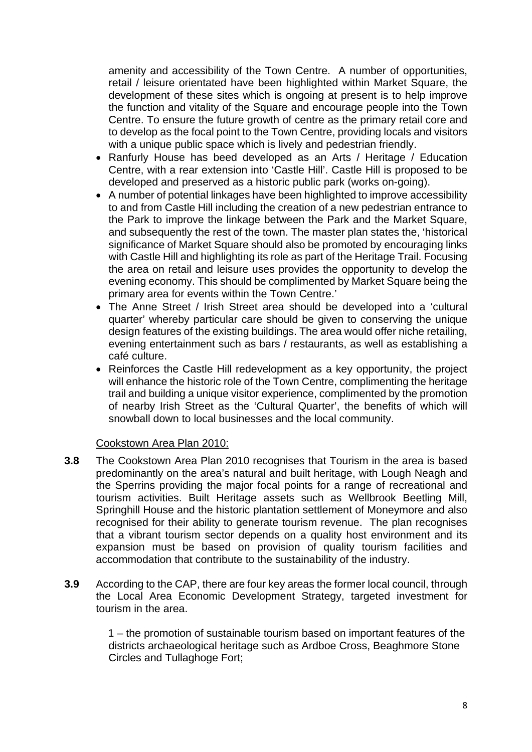amenity and accessibility of the Town Centre. A number of opportunities, retail / leisure orientated have been highlighted within Market Square, the development of these sites which is ongoing at present is to help improve the function and vitality of the Square and encourage people into the Town Centre. To ensure the future growth of centre as the primary retail core and to develop as the focal point to the Town Centre, providing locals and visitors with a unique public space which is lively and pedestrian friendly.

- Ranfurly House has beed developed as an Arts / Heritage / Education Centre, with a rear extension into 'Castle Hill'. Castle Hill is proposed to be developed and preserved as a historic public park (works on-going).
- A number of potential linkages have been highlighted to improve accessibility to and from Castle Hill including the creation of a new pedestrian entrance to the Park to improve the linkage between the Park and the Market Square, and subsequently the rest of the town. The master plan states the, 'historical significance of Market Square should also be promoted by encouraging links with Castle Hill and highlighting its role as part of the Heritage Trail. Focusing the area on retail and leisure uses provides the opportunity to develop the evening economy. This should be complimented by Market Square being the primary area for events within the Town Centre.'
- The Anne Street / Irish Street area should be developed into a 'cultural quarter' whereby particular care should be given to conserving the unique design features of the existing buildings. The area would offer niche retailing, evening entertainment such as bars / restaurants, as well as establishing a café culture.
- Reinforces the Castle Hill redevelopment as a key opportunity, the project will enhance the historic role of the Town Centre, complimenting the heritage trail and building a unique visitor experience, complimented by the promotion of nearby Irish Street as the 'Cultural Quarter', the benefits of which will snowball down to local businesses and the local community.

## Cookstown Area Plan 2010:

- **3.8** The Cookstown Area Plan 2010 recognises that Tourism in the area is based predominantly on the area's natural and built heritage, with Lough Neagh and the Sperrins providing the major focal points for a range of recreational and tourism activities. Built Heritage assets such as Wellbrook Beetling Mill, Springhill House and the historic plantation settlement of Moneymore and also recognised for their ability to generate tourism revenue. The plan recognises that a vibrant tourism sector depends on a quality host environment and its expansion must be based on provision of quality tourism facilities and accommodation that contribute to the sustainability of the industry.
- **3.9** According to the CAP, there are four key areas the former local council, through the Local Area Economic Development Strategy, targeted investment for tourism in the area.

1 – the promotion of sustainable tourism based on important features of the districts archaeological heritage such as Ardboe Cross, Beaghmore Stone Circles and Tullaghoge Fort;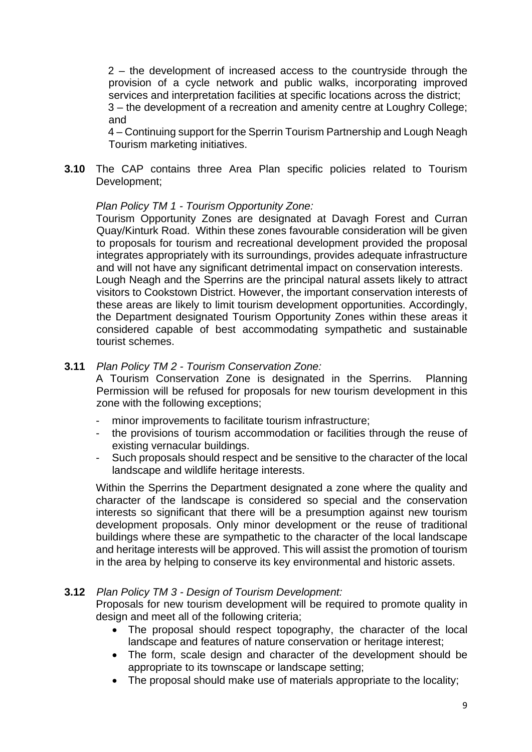2 – the development of increased access to the countryside through the provision of a cycle network and public walks, incorporating improved services and interpretation facilities at specific locations across the district; 3 – the development of a recreation and amenity centre at Loughry College; and

4 – Continuing support for the Sperrin Tourism Partnership and Lough Neagh Tourism marketing initiatives.

**3.10** The CAP contains three Area Plan specific policies related to Tourism Development;

## *Plan Policy TM 1 - Tourism Opportunity Zone:*

Tourism Opportunity Zones are designated at Davagh Forest and Curran Quay/Kinturk Road. Within these zones favourable consideration will be given to proposals for tourism and recreational development provided the proposal integrates appropriately with its surroundings, provides adequate infrastructure and will not have any significant detrimental impact on conservation interests. Lough Neagh and the Sperrins are the principal natural assets likely to attract visitors to Cookstown District. However, the important conservation interests of these areas are likely to limit tourism development opportunities. Accordingly, the Department designated Tourism Opportunity Zones within these areas it considered capable of best accommodating sympathetic and sustainable tourist schemes.

## **3.11** *Plan Policy TM 2 - Tourism Conservation Zone:*

A Tourism Conservation Zone is designated in the Sperrins. Planning Permission will be refused for proposals for new tourism development in this zone with the following exceptions;

- minor improvements to facilitate tourism infrastructure;
- the provisions of tourism accommodation or facilities through the reuse of existing vernacular buildings.
- Such proposals should respect and be sensitive to the character of the local landscape and wildlife heritage interests.

Within the Sperrins the Department designated a zone where the quality and character of the landscape is considered so special and the conservation interests so significant that there will be a presumption against new tourism development proposals. Only minor development or the reuse of traditional buildings where these are sympathetic to the character of the local landscape and heritage interests will be approved. This will assist the promotion of tourism in the area by helping to conserve its key environmental and historic assets.

## **3.12** *Plan Policy TM 3 - Design of Tourism Development:*

Proposals for new tourism development will be required to promote quality in design and meet all of the following criteria;

- The proposal should respect topography, the character of the local landscape and features of nature conservation or heritage interest;
- The form, scale design and character of the development should be appropriate to its townscape or landscape setting;
- The proposal should make use of materials appropriate to the locality;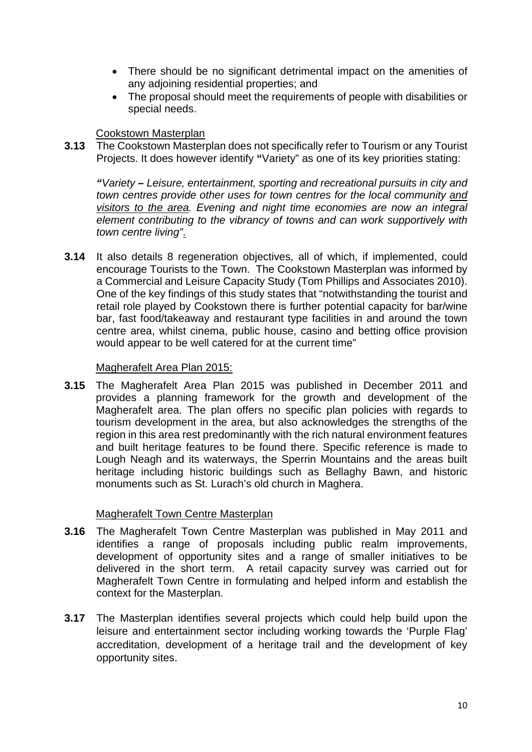- There should be no significant detrimental impact on the amenities of any adjoining residential properties; and
- The proposal should meet the requirements of people with disabilities or special needs.

## **Cookstown Masterplan**

**3.13** The Cookstown Masterplan does not specifically refer to Tourism or any Tourist Projects. It does however identify **"**Variety" as one of its key priorities stating:

*"Variety – Leisure, entertainment, sporting and recreational pursuits in city and town centres provide other uses for town centres for the local community and visitors to the area. Evening and night time economies are now an integral element contributing to the vibrancy of towns and can work supportively with town centre living"*.

**3.14** It also details 8 regeneration objectives, all of which, if implemented, could encourage Tourists to the Town. The Cookstown Masterplan was informed by a Commercial and Leisure Capacity Study (Tom Phillips and Associates 2010). One of the key findings of this study states that "notwithstanding the tourist and retail role played by Cookstown there is further potential capacity for bar/wine bar, fast food/takeaway and restaurant type facilities in and around the town centre area, whilst cinema, public house, casino and betting office provision would appear to be well catered for at the current time"

## Magherafelt Area Plan 2015:

**3.15** The Magherafelt Area Plan 2015 was published in December 2011 and provides a planning framework for the growth and development of the Magherafelt area. The plan offers no specific plan policies with regards to tourism development in the area, but also acknowledges the strengths of the region in this area rest predominantly with the rich natural environment features and built heritage features to be found there. Specific reference is made to Lough Neagh and its waterways, the Sperrin Mountains and the areas built heritage including historic buildings such as Bellaghy Bawn, and historic monuments such as St. Lurach's old church in Maghera.

## Magherafelt Town Centre Masterplan

- **3.16** The Magherafelt Town Centre Masterplan was published in May 2011 and identifies a range of proposals including public realm improvements, development of opportunity sites and a range of smaller initiatives to be delivered in the short term. A retail capacity survey was carried out for Magherafelt Town Centre in formulating and helped inform and establish the context for the Masterplan.
- **3.17** The Masterplan identifies several projects which could help build upon the leisure and entertainment sector including working towards the 'Purple Flag' accreditation, development of a heritage trail and the development of key opportunity sites.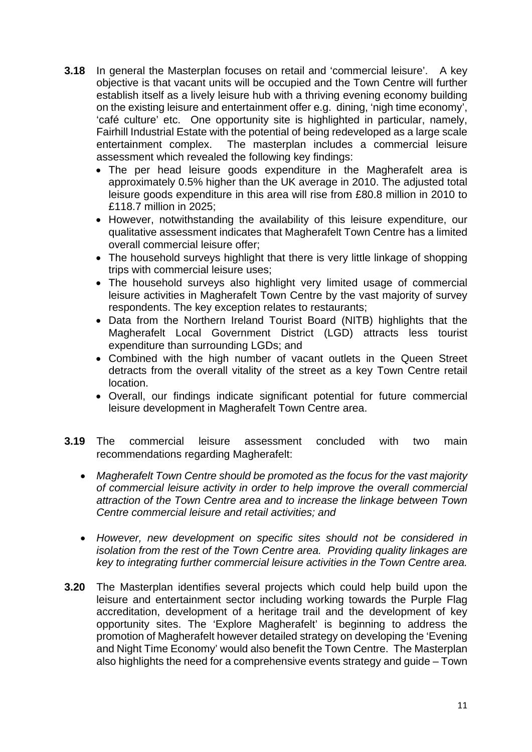- **3.18** In general the Masterplan focuses on retail and 'commercial leisure'. A key objective is that vacant units will be occupied and the Town Centre will further establish itself as a lively leisure hub with a thriving evening economy building on the existing leisure and entertainment offer e.g. dining, 'nigh time economy', 'café culture' etc. One opportunity site is highlighted in particular, namely, Fairhill Industrial Estate with the potential of being redeveloped as a large scale entertainment complex. The masterplan includes a commercial leisure assessment which revealed the following key findings:
	- The per head leisure goods expenditure in the Magherafelt area is approximately 0.5% higher than the UK average in 2010. The adjusted total leisure goods expenditure in this area will rise from £80.8 million in 2010 to £118.7 million in 2025;
	- However, notwithstanding the availability of this leisure expenditure, our qualitative assessment indicates that Magherafelt Town Centre has a limited overall commercial leisure offer;
	- The household surveys highlight that there is very little linkage of shopping trips with commercial leisure uses;
	- The household surveys also highlight very limited usage of commercial leisure activities in Magherafelt Town Centre by the vast majority of survey respondents. The key exception relates to restaurants;
	- Data from the Northern Ireland Tourist Board (NITB) highlights that the Magherafelt Local Government District (LGD) attracts less tourist expenditure than surrounding LGDs; and
	- Combined with the high number of vacant outlets in the Queen Street detracts from the overall vitality of the street as a key Town Centre retail location.
	- Overall, our findings indicate significant potential for future commercial leisure development in Magherafelt Town Centre area.
- **3.19** The commercial leisure assessment concluded with two main recommendations regarding Magherafelt:
	- *Magherafelt Town Centre should be promoted as the focus for the vast majority of commercial leisure activity in order to help improve the overall commercial attraction of the Town Centre area and to increase the linkage between Town Centre commercial leisure and retail activities; and*
	- *However, new development on specific sites should not be considered in isolation from the rest of the Town Centre area. Providing quality linkages are key to integrating further commercial leisure activities in the Town Centre area.*
- **3.20** The Masterplan identifies several projects which could help build upon the leisure and entertainment sector including working towards the Purple Flag accreditation, development of a heritage trail and the development of key opportunity sites. The 'Explore Magherafelt' is beginning to address the promotion of Magherafelt however detailed strategy on developing the 'Evening and Night Time Economy' would also benefit the Town Centre. The Masterplan also highlights the need for a comprehensive events strategy and guide – Town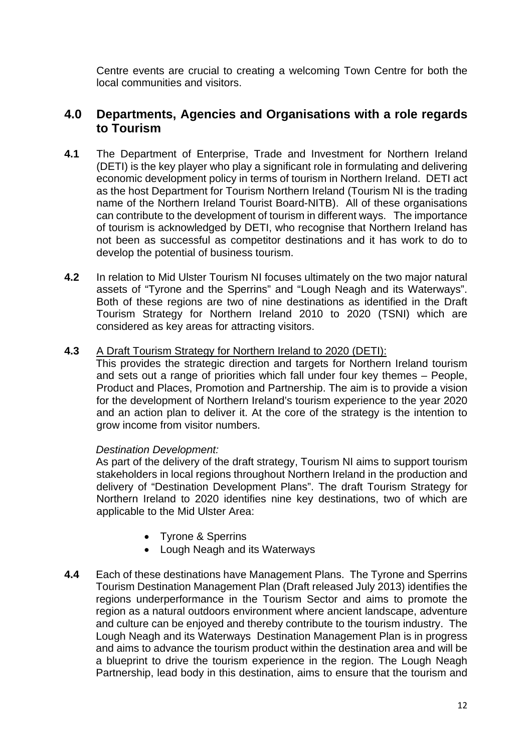Centre events are crucial to creating a welcoming Town Centre for both the local communities and visitors.

## **4.0 Departments, Agencies and Organisations with a role regards to Tourism**

- **4.1** The Department of Enterprise, Trade and Investment for Northern Ireland (DETI) is the key player who play a significant role in formulating and delivering economic development policy in terms of tourism in Northern Ireland. DETI act as the host Department for Tourism Northern Ireland (Tourism NI is the trading name of the Northern Ireland Tourist Board-NITB). All of these organisations can contribute to the development of tourism in different ways. The importance of tourism is acknowledged by DETI, who recognise that Northern Ireland has not been as successful as competitor destinations and it has work to do to develop the potential of business tourism.
- **4.2** In relation to Mid Ulster Tourism NI focuses ultimately on the two major natural assets of "Tyrone and the Sperrins" and "Lough Neagh and its Waterways". Both of these regions are two of nine destinations as identified in the Draft Tourism Strategy for Northern Ireland 2010 to 2020 (TSNI) which are considered as key areas for attracting visitors.

#### **4.3** A Draft Tourism Strategy for Northern Ireland to 2020 (DETI):

This provides the strategic direction and targets for Northern Ireland tourism and sets out a range of priorities which fall under four key themes – People, Product and Places, Promotion and Partnership. The aim is to provide a vision for the development of Northern Ireland's tourism experience to the year 2020 and an action plan to deliver it. At the core of the strategy is the intention to grow income from visitor numbers.

## *Destination Development:*

As part of the delivery of the draft strategy, Tourism NI aims to support tourism stakeholders in local regions throughout Northern Ireland in the production and delivery of "Destination Development Plans". The draft Tourism Strategy for Northern Ireland to 2020 identifies nine key destinations, two of which are applicable to the Mid Ulster Area:

- Tyrone & Sperrins
- Lough Neagh and its Waterways
- **4.4** Each of these destinations have Management Plans. The Tyrone and Sperrins Tourism Destination Management Plan (Draft released July 2013) identifies the regions underperformance in the Tourism Sector and aims to promote the region as a natural outdoors environment where ancient landscape, adventure and culture can be enjoyed and thereby contribute to the tourism industry. The Lough Neagh and its Waterways Destination Management Plan is in progress and aims to advance the tourism product within the destination area and will be a blueprint to drive the tourism experience in the region. The Lough Neagh Partnership, lead body in this destination, aims to ensure that the tourism and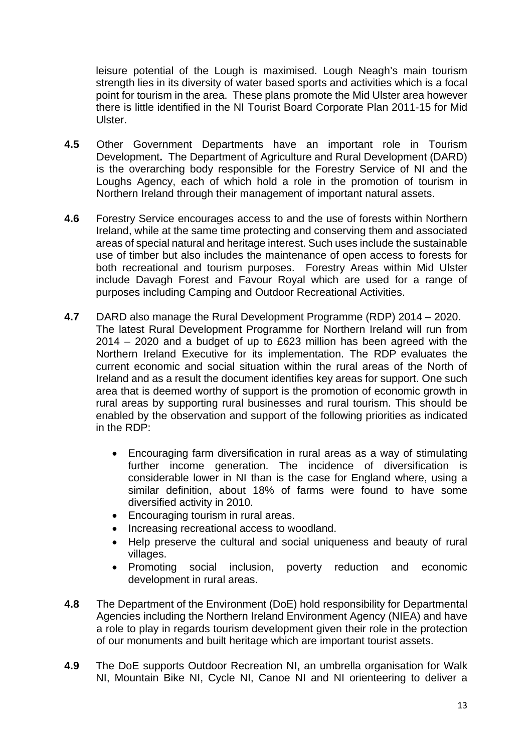leisure potential of the Lough is maximised. Lough Neagh's main tourism strength lies in its diversity of water based sports and activities which is a focal point for tourism in the area. These plans promote the Mid Ulster area however there is little identified in the NI Tourist Board Corporate Plan 2011-15 for Mid Ulster.

- **4.5** Other Government Departments have an important role in Tourism Development**.** The Department of Agriculture and Rural Development (DARD) is the overarching body responsible for the Forestry Service of NI and the Loughs Agency, each of which hold a role in the promotion of tourism in Northern Ireland through their management of important natural assets.
- **4.6** Forestry Service encourages access to and the use of forests within Northern Ireland, while at the same time protecting and conserving them and associated areas of special natural and heritage interest. Such uses include the sustainable use of timber but also includes the maintenance of open access to forests for both recreational and tourism purposes. Forestry Areas within Mid Ulster include Davagh Forest and Favour Royal which are used for a range of purposes including Camping and Outdoor Recreational Activities.
- **4.7** DARD also manage the Rural Development Programme (RDP) 2014 2020. The latest Rural Development Programme for Northern Ireland will run from 2014 – 2020 and a budget of up to £623 million has been agreed with the Northern Ireland Executive for its implementation. The RDP evaluates the current economic and social situation within the rural areas of the North of Ireland and as a result the document identifies key areas for support. One such area that is deemed worthy of support is the promotion of economic growth in rural areas by supporting rural businesses and rural tourism. This should be enabled by the observation and support of the following priorities as indicated in the RDP:
	- Encouraging farm diversification in rural areas as a way of stimulating further income generation. The incidence of diversification is considerable lower in NI than is the case for England where, using a similar definition, about 18% of farms were found to have some diversified activity in 2010.
	- Encouraging tourism in rural areas.
	- Increasing recreational access to woodland.
	- Help preserve the cultural and social uniqueness and beauty of rural villages.
	- Promoting social inclusion, poverty reduction and economic development in rural areas.
- **4.8** The Department of the Environment (DoE) hold responsibility for Departmental Agencies including the Northern Ireland Environment Agency (NIEA) and have a role to play in regards tourism development given their role in the protection of our monuments and built heritage which are important tourist assets.
- **4.9** The DoE supports Outdoor Recreation NI, an umbrella organisation for Walk NI, Mountain Bike NI, Cycle NI, Canoe NI and NI orienteering to deliver a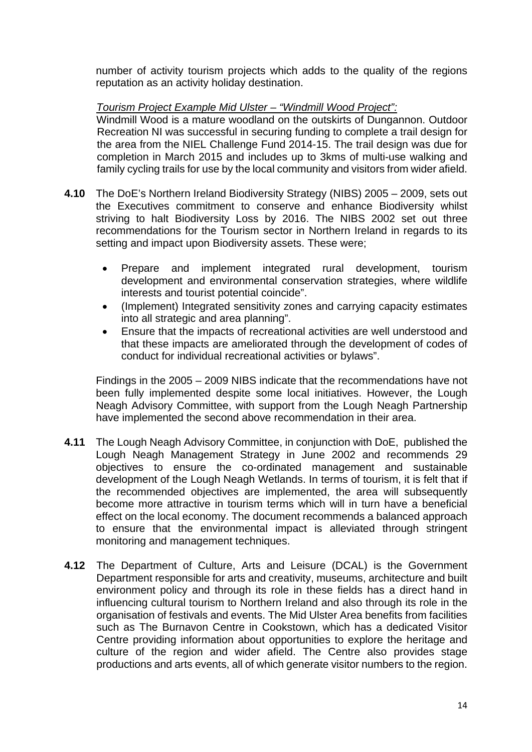number of activity tourism projects which adds to the quality of the regions reputation as an activity holiday destination.

## *Tourism Project Example Mid Ulster – "Windmill Wood Project":*

Windmill Wood is a mature woodland on the outskirts of Dungannon. Outdoor Recreation NI was successful in securing funding to complete a trail design for the area from the NIEL Challenge Fund 2014-15. The trail design was due for completion in March 2015 and includes up to 3kms of multi-use walking and family cycling trails for use by the local community and visitors from wider afield.

- **4.10** The DoE's Northern Ireland Biodiversity Strategy (NIBS) 2005 2009, sets out the Executives commitment to conserve and enhance Biodiversity whilst striving to halt Biodiversity Loss by 2016. The NIBS 2002 set out three recommendations for the Tourism sector in Northern Ireland in regards to its setting and impact upon Biodiversity assets. These were;
	- Prepare and implement integrated rural development, tourism development and environmental conservation strategies, where wildlife interests and tourist potential coincide".
	- (Implement) Integrated sensitivity zones and carrying capacity estimates into all strategic and area planning".
	- Ensure that the impacts of recreational activities are well understood and that these impacts are ameliorated through the development of codes of conduct for individual recreational activities or bylaws".

Findings in the 2005 – 2009 NIBS indicate that the recommendations have not been fully implemented despite some local initiatives. However, the Lough Neagh Advisory Committee, with support from the Lough Neagh Partnership have implemented the second above recommendation in their area.

- **4.11** The Lough Neagh Advisory Committee, in conjunction with DoE, published the Lough Neagh Management Strategy in June 2002 and recommends 29 objectives to ensure the co-ordinated management and sustainable development of the Lough Neagh Wetlands. In terms of tourism, it is felt that if the recommended objectives are implemented, the area will subsequently become more attractive in tourism terms which will in turn have a beneficial effect on the local economy. The document recommends a balanced approach to ensure that the environmental impact is alleviated through stringent monitoring and management techniques.
- **4.12** The Department of Culture, Arts and Leisure (DCAL) is the Government Department responsible for arts and creativity, museums, architecture and built environment policy and through its role in these fields has a direct hand in influencing cultural tourism to Northern Ireland and also through its role in the organisation of festivals and events. The Mid Ulster Area benefits from facilities such as The Burnavon Centre in Cookstown, which has a dedicated Visitor Centre providing information about opportunities to explore the heritage and culture of the region and wider afield. The Centre also provides stage productions and arts events, all of which generate visitor numbers to the region.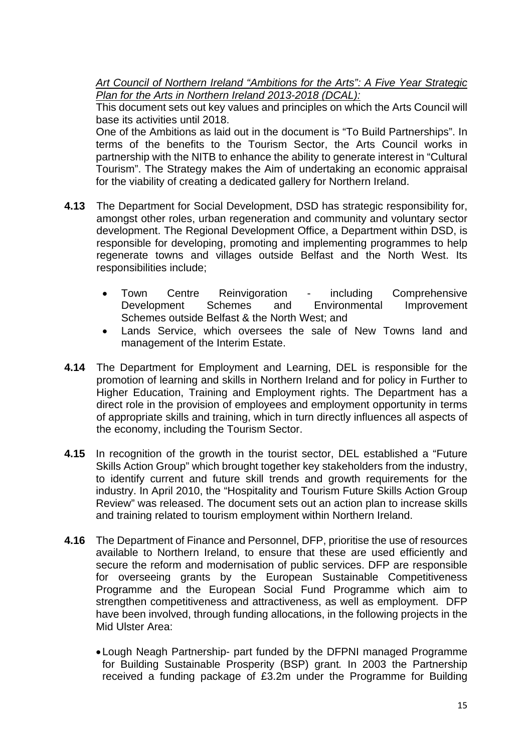*Art Council of Northern Ireland "Ambitions for the Arts": A Five Year Strategic Plan for the Arts in Northern Ireland 2013-2018 (DCAL):*

This document sets out key values and principles on which the Arts Council will base its activities until 2018.

One of the Ambitions as laid out in the document is "To Build Partnerships". In terms of the benefits to the Tourism Sector, the Arts Council works in partnership with the NITB to enhance the ability to generate interest in "Cultural Tourism". The Strategy makes the Aim of undertaking an economic appraisal for the viability of creating a dedicated gallery for Northern Ireland.

- **4.13** The Department for Social Development, DSD has strategic responsibility for, amongst other roles, urban regeneration and community and voluntary sector development. The Regional Development Office, a Department within DSD, is responsible for developing, promoting and implementing programmes to help regenerate towns and villages outside Belfast and the North West. Its responsibilities include;
	- Town Centre Reinvigoration including Comprehensive Development Schemes and Environmental Improvement Schemes outside Belfast & the North West; and
	- Lands Service, which oversees the sale of New Towns land and management of the Interim Estate.
- **4.14** The Department for Employment and Learning, DEL is responsible for the promotion of learning and skills in Northern Ireland and for policy in Further to Higher Education, Training and Employment rights. The Department has a direct role in the provision of employees and employment opportunity in terms of appropriate skills and training, which in turn directly influences all aspects of the economy, including the Tourism Sector.
- **4.15** In recognition of the growth in the tourist sector, DEL established a "Future Skills Action Group" which brought together key stakeholders from the industry, to identify current and future skill trends and growth requirements for the industry. In April 2010, the "Hospitality and Tourism Future Skills Action Group Review" was released. The document sets out an action plan to increase skills and training related to tourism employment within Northern Ireland.
- **4.16** The Department of Finance and Personnel, DFP, prioritise the use of resources available to Northern Ireland, to ensure that these are used efficiently and secure the reform and modernisation of public services. DFP are responsible for overseeing grants by the European Sustainable Competitiveness Programme and the European Social Fund Programme which aim to strengthen competitiveness and attractiveness, as well as employment. DFP have been involved, through funding allocations, in the following projects in the Mid Ulster Area:
	- Lough Neagh Partnership- part funded by the DFPNI managed Programme for Building Sustainable Prosperity (BSP) grant*.* In 2003 the Partnership received a funding package of £3.2m under the Programme for Building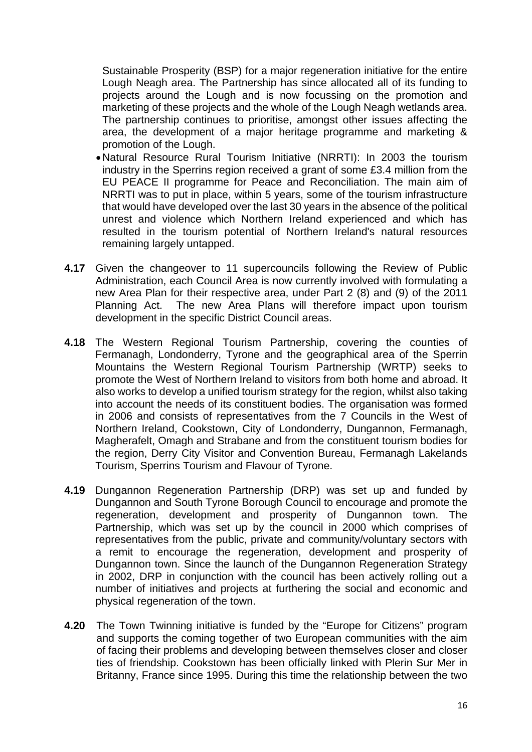Sustainable Prosperity (BSP) for a major regeneration initiative for the entire Lough Neagh area. The Partnership has since allocated all of its funding to projects around the Lough and is now focussing on the promotion and marketing of these projects and the whole of the Lough Neagh wetlands area. The partnership continues to prioritise, amongst other issues affecting the area, the development of a major heritage programme and marketing & promotion of the Lough.

- Natural Resource Rural Tourism Initiative (NRRTI): In 2003 the tourism industry in the Sperrins region received a grant of some £3.4 million from the EU PEACE II programme for Peace and Reconciliation. The main aim of NRRTI was to put in place, within 5 years, some of the tourism infrastructure that would have developed over the last 30 years in the absence of the political unrest and violence which Northern Ireland experienced and which has resulted in the tourism potential of Northern Ireland's natural resources remaining largely untapped.
- **4.17** Given the changeover to 11 supercouncils following the Review of Public Administration, each Council Area is now currently involved with formulating a new Area Plan for their respective area, under Part 2 (8) and (9) of the 2011 Planning Act. The new Area Plans will therefore impact upon tourism development in the specific District Council areas.
- **4.18** The Western Regional Tourism Partnership, covering the counties of Fermanagh, Londonderry, Tyrone and the geographical area of the Sperrin Mountains the Western Regional Tourism Partnership (WRTP) seeks to promote the West of Northern Ireland to visitors from both home and abroad. It also works to develop a unified tourism strategy for the region, whilst also taking into account the needs of its constituent bodies. The organisation was formed in 2006 and consists of representatives from the 7 Councils in the West of Northern Ireland, Cookstown, City of Londonderry, Dungannon, Fermanagh, Magherafelt, Omagh and Strabane and from the constituent tourism bodies for the region, Derry City Visitor and Convention Bureau, Fermanagh Lakelands Tourism, Sperrins Tourism and Flavour of Tyrone.
- **4.19** Dungannon Regeneration Partnership (DRP) was set up and funded by Dungannon and South Tyrone Borough Council to encourage and promote the regeneration, development and prosperity of Dungannon town. The Partnership, which was set up by the council in 2000 which comprises of representatives from the public, private and community/voluntary sectors with a remit to encourage the regeneration, development and prosperity of Dungannon town. Since the launch of the Dungannon Regeneration Strategy in 2002, DRP in conjunction with the council has been actively rolling out a number of initiatives and projects at furthering the social and economic and physical regeneration of the town.
- **4.20** The Town Twinning initiative is funded by the "Europe for Citizens" program and supports the coming together of two European communities with the aim of facing their problems and developing between themselves closer and closer ties of friendship. Cookstown has been officially linked with Plerin Sur Mer in Britanny, France since 1995. During this time the relationship between the two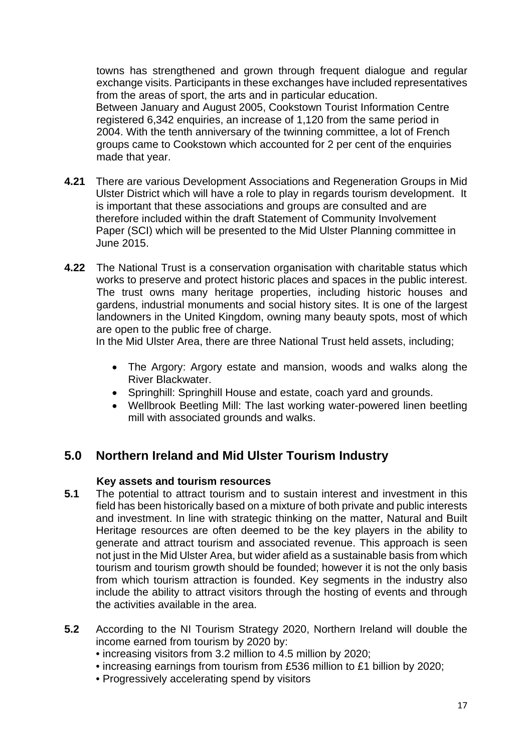towns has strengthened and grown through frequent dialogue and regular exchange visits. Participants in these exchanges have included representatives from the areas of sport, the arts and in particular education. Between January and August 2005, Cookstown Tourist Information Centre registered 6,342 enquiries, an increase of 1,120 from the same period in 2004. With the tenth anniversary of the twinning committee, a lot of French groups came to Cookstown which accounted for 2 per cent of the enquiries made that year.

- **4.21** There are various Development Associations and Regeneration Groups in Mid Ulster District which will have a role to play in regards tourism development. It is important that these associations and groups are consulted and are therefore included within the draft Statement of Community Involvement Paper (SCI) which will be presented to the Mid Ulster Planning committee in June 2015.
- **4.22** The National Trust is a conservation organisation with charitable status which works to preserve and protect historic places and spaces in the public interest. The trust owns many heritage properties, including historic houses and gardens, industrial monuments and social history sites. It is one of the largest landowners in the United Kingdom, owning many beauty spots, most of which are open to the public free of charge.

In the Mid Ulster Area, there are three National Trust held assets, including;

- The Argory: Argory estate and mansion, woods and walks along the River Blackwater.
- Springhill: Springhill House and estate, coach yard and grounds.
- Wellbrook Beetling Mill: The last working water-powered linen beetling mill with associated grounds and walks.

## **5.0 Northern Ireland and Mid Ulster Tourism Industry**

## **Key assets and tourism resources**

- **5.1** The potential to attract tourism and to sustain interest and investment in this field has been historically based on a mixture of both private and public interests and investment. In line with strategic thinking on the matter, Natural and Built Heritage resources are often deemed to be the key players in the ability to generate and attract tourism and associated revenue. This approach is seen not just in the Mid Ulster Area, but wider afield as a sustainable basis from which tourism and tourism growth should be founded; however it is not the only basis from which tourism attraction is founded. Key segments in the industry also include the ability to attract visitors through the hosting of events and through the activities available in the area.
- **5.2** According to the NI Tourism Strategy 2020, Northern Ireland will double the income earned from tourism by 2020 by:
	- increasing visitors from 3.2 million to 4.5 million by 2020;
	- increasing earnings from tourism from £536 million to £1 billion by 2020;
	- Progressively accelerating spend by visitors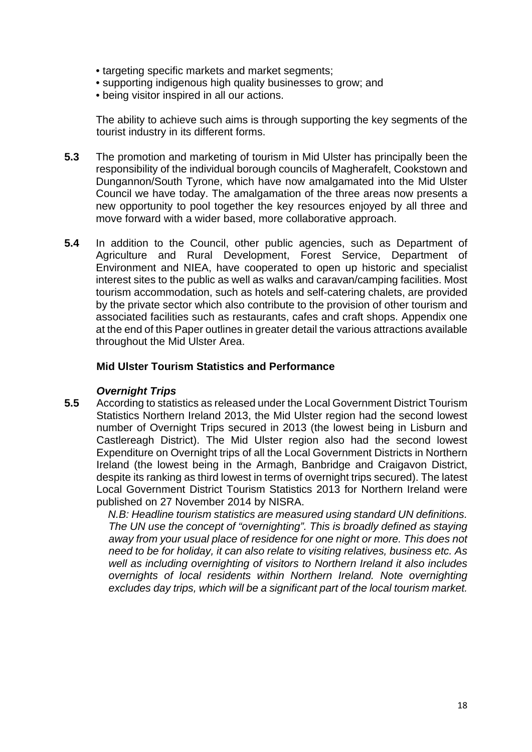- targeting specific markets and market segments;
- supporting indigenous high quality businesses to grow; and
- being visitor inspired in all our actions.

The ability to achieve such aims is through supporting the key segments of the tourist industry in its different forms.

- **5.3** The promotion and marketing of tourism in Mid Ulster has principally been the responsibility of the individual borough councils of Magherafelt, Cookstown and Dungannon/South Tyrone, which have now amalgamated into the Mid Ulster Council we have today. The amalgamation of the three areas now presents a new opportunity to pool together the key resources enjoyed by all three and move forward with a wider based, more collaborative approach.
- **5.4** In addition to the Council, other public agencies, such as Department of Agriculture and Rural Development, Forest Service, Department of Environment and NIEA, have cooperated to open up historic and specialist interest sites to the public as well as walks and caravan/camping facilities. Most tourism accommodation, such as hotels and self-catering chalets, are provided by the private sector which also contribute to the provision of other tourism and associated facilities such as restaurants, cafes and craft shops. Appendix one at the end of this Paper outlines in greater detail the various attractions available throughout the Mid Ulster Area.

#### **Mid Ulster Tourism Statistics and Performance**

## *Overnight Trips*

**5.5** According to statistics as released under the Local Government District Tourism Statistics Northern Ireland 2013, the Mid Ulster region had the second lowest number of Overnight Trips secured in 2013 (the lowest being in Lisburn and Castlereagh District). The Mid Ulster region also had the second lowest Expenditure on Overnight trips of all the Local Government Districts in Northern Ireland (the lowest being in the Armagh, Banbridge and Craigavon District, despite its ranking as third lowest in terms of overnight trips secured). The latest Local Government District Tourism Statistics 2013 for Northern Ireland were published on 27 November 2014 by NISRA.

> *N.B: Headline tourism statistics are measured using standard UN definitions. The UN use the concept of "overnighting". This is broadly defined as staying away from your usual place of residence for one night or more. This does not need to be for holiday, it can also relate to visiting relatives, business etc. As well as including overnighting of visitors to Northern Ireland it also includes overnights of local residents within Northern Ireland. Note overnighting excludes day trips, which will be a significant part of the local tourism market.*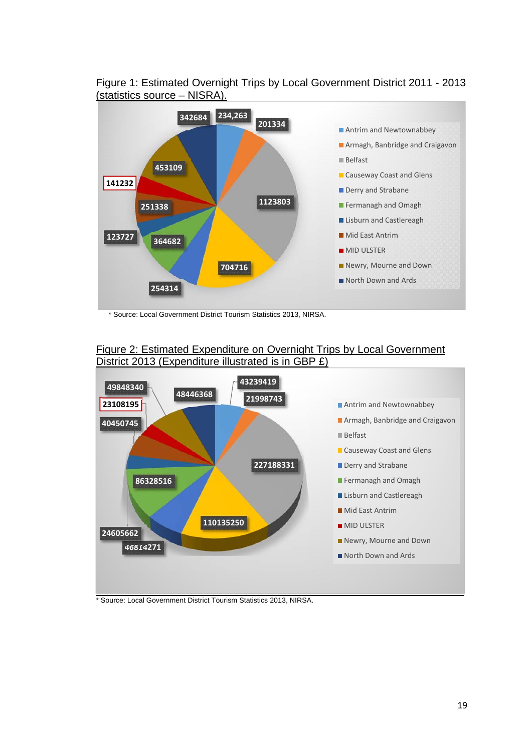

#### Figure 1: Estimated Overnight Trips by Local Government District 2011 - 2013 (statistics source – NISRA).

\* Source: Local Government District Tourism Statistics 2013, NIRSA.

## Figure 2: Estimated Expenditure on Overnight Trips by Local Government District 2013 (Expenditure illustrated is in GBP £)

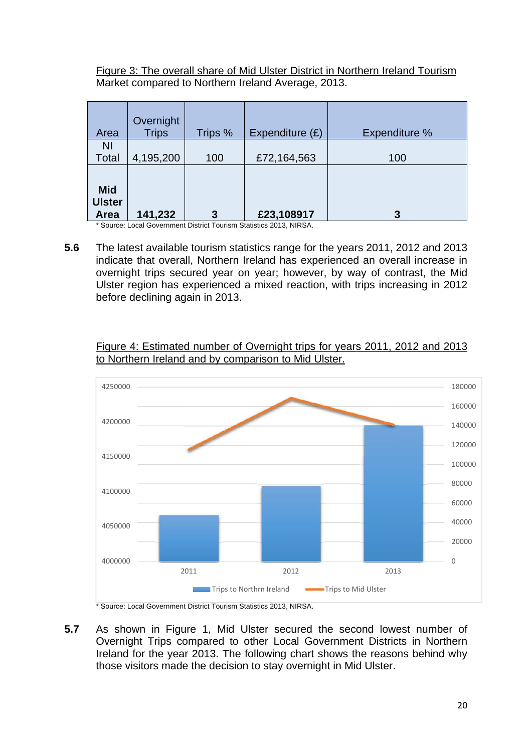Figure 3: The overall share of Mid Ulster District in Northern Ireland Tourism Market compared to Northern Ireland Average, 2013.

| Area                                       | Overnight<br><b>Trips</b> | Trips % | Expenditure $(E)$ | Expenditure % |
|--------------------------------------------|---------------------------|---------|-------------------|---------------|
| <b>NI</b><br>Total                         | 4,195,200                 | 100     | £72,164,563       | 100           |
| <b>Mid</b><br><b>Ulster</b><br><b>Area</b> | 141,232                   | 3       | £23,108917        | 3             |

\* Source: Local Government District Tourism Statistics 2013, NIRSA.

**5.6** The latest available tourism statistics range for the years 2011, 2012 and 2013 indicate that overall, Northern Ireland has experienced an overall increase in overnight trips secured year on year; however, by way of contrast, the Mid Ulster region has experienced a mixed reaction, with trips increasing in 2012 before declining again in 2013.

## Figure 4: Estimated number of Overnight trips for years 2011, 2012 and 2013 to Northern Ireland and by comparison to Mid Ulster.



**5.7** As shown in Figure 1, Mid Ulster secured the second lowest number of Overnight Trips compared to other Local Government Districts in Northern Ireland for the year 2013. The following chart shows the reasons behind why those visitors made the decision to stay overnight in Mid Ulster.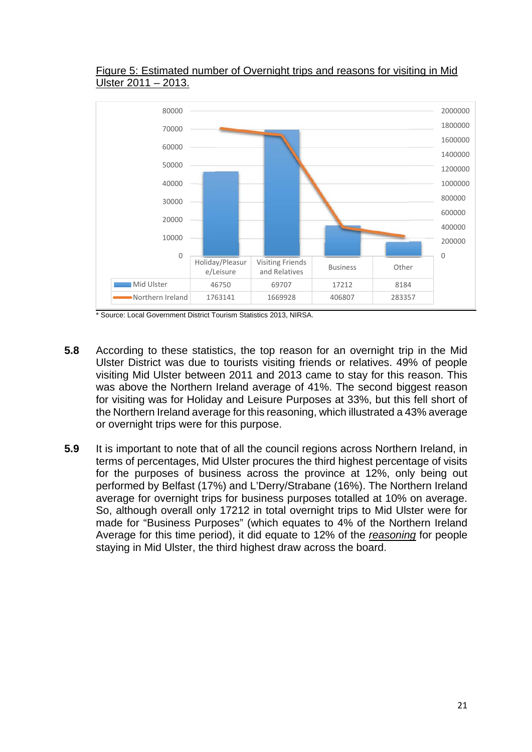

## Figure 5: Estimated number of Overnight trips and reasons for visiting in Mid Ulster 2011 – 2013.

- **5.8** According to these statistics, the top reason for an overnight trip in the Mid Ulster District was due to tourists visiting friends or relatives. 49% of people visiting Mid Ulster between 2011 and 2013 came to stay for this reason. This was above the Northern Ireland average of 41%. The second biggest reason for visiting was for Holiday and Leisure Purposes at 33%, but this fell short of the Northern Ireland average for this reasoning, which illustrated a 43% average or overnight trips were for this purpose.
- **5.9** It is important to note that of all the council regions across Northern Ireland, in terms of percentages, Mid Ulster procures the third highest percentage of visits for the purposes of business across the province at 12%, only being out performed by Belfast (17%) and L'Derry/Strabane (16%). The Northern Ireland average for overnight trips for business purposes totalled at 10% on average. So, although overall only 17212 in total overnight trips to Mid Ulster were for made for "Business Purposes" (which equates to 4% of the Northern Ireland Average for this time period), it did equate to 12% of the *reasoning* for people staying in Mid Ulster, the third highest draw across the board.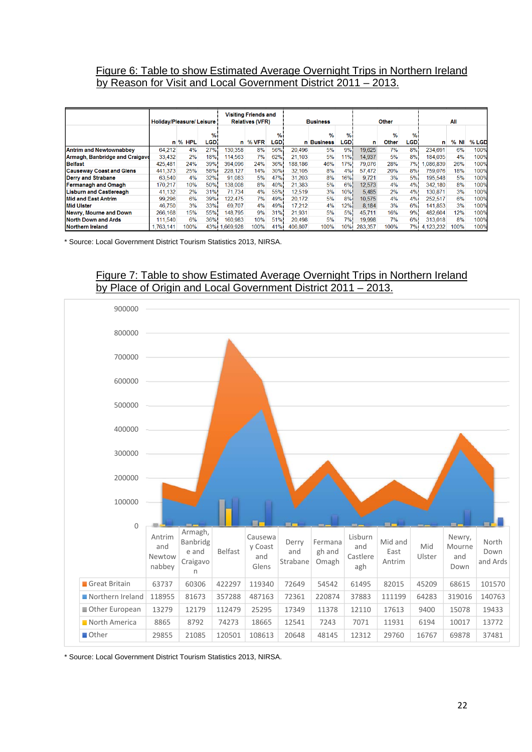#### Figure 6: Table to show Estimated Average Overnight Trips in Northern Ireland by Reason for Visit and Local Government District 2011 – 2013.

|                                       | Holiday/Pleasure/Leisure |         |           | <b>Visiting Friends and</b><br><b>Relatives (VFR)</b> |         |           | <b>Business</b> |                    |           | Other   |                        |           | All          |        |       |
|---------------------------------------|--------------------------|---------|-----------|-------------------------------------------------------|---------|-----------|-----------------|--------------------|-----------|---------|------------------------|-----------|--------------|--------|-------|
|                                       |                          | n % HPL | %<br>LGD. |                                                       | n % VFR | %<br>LGD. |                 | $\%$<br>n Business | %<br>LGD. | n       | $\frac{9}{6}$<br>Other | %<br>LGD. | n            | $%$ NI | % LGD |
| <b>Antrim and Newtownabbev</b>        | 64,212                   | 4%      | 27%       | 130.358                                               | 8%      | 56%       | 20,496          | 5%                 | 9%        | 19,625  | 7%                     | $8\%$     | 234.691      | 6%     | 100%  |
| <b>Armagh, Banbridge and Craigavd</b> | 33.432                   | 2%      | 18%       | 114.563                                               | 7%      | 62%       | 21.103          | 5%                 | 11%       | 14.937  | 5%                     | 8%        | 184.035      | 4%     | 100%  |
| <b>Belfast</b>                        | 425,481                  | 24%     | 39%       | 394,096                                               | 24%     | 36%       | 188,186         | 46%                | 17%       | 79,076  | 28%                    | 7%1       | .086.839     | 26%    | 100%  |
| <b>Causeway Coast and Glens</b>       | 441,373                  | 25%     | 58%       | 228,127                                               | 14%     | 30%       | 32,105          | 8%                 | 4%        | 57,472  | 20%                    | 8%        | 759,076      | 18%    | 100%  |
| <b>Derry and Strabane</b>             | 63.540                   | 4%      | 32%       | 91.083                                                | 5%      | 47%       | 31.203          | 8%                 | 16%       | 9.721   | 3%                     | 5%        | 195.548      | 5%     | 100%  |
| <b>Fermanagh and Omagh</b>            | 170.217                  | 10%     | 50%       | 138,008                                               | 8%      | 40%       | 21.383          | 5%                 | 6%        | 12,573  | 4%                     | 4%        | 342.180      | 8%     | 100%  |
| <b>Lisburn and Castlereagh</b>        | 41.132                   | 2%      | 31%       | 71.734                                                | 4%      | 55%       | 12.519          | 3%                 | 10%       | 5.485   | 2%                     | 4%        | 130.871      | 3%     | 100%  |
| <b>Mid and East Antrim</b>            | 99.296                   | 6%      | 39%i      | 122.475                                               | 7%      | 49%       | 20.172          | 5%                 | 8%        | 10.575  | 4%                     | 4%1       | 252.517      | 6%     | 100%  |
| <b>Mid Ulster</b>                     | 46.750                   | 3%      | 33%       | 69.707                                                | 4%      | 49%       | 17.212          | 4%                 | 12%       | 8.184   | 3%                     | 6%        | 141.853      | 3%     | 100%  |
| <b>Newry, Mourne and Down</b>         | 266,168                  | 15%     | 55%       | 148,795                                               | 9%      | 31%       | 21,931          | 5%                 | 5%        | 45,711  | 16%                    | 9%        | 482,604      | 12%    | 100%  |
| <b>North Down and Ards</b>            | 111.540                  | 6%      | 36%       | 160.983                                               | 10%     | 51%       | 20,498          | 5%                 | 7%!       | 19,998  | 7%                     | 6%        | 313.018      | 8%     | 100%  |
| Northern Ireland                      | 1.763.141                | 100%    |           | 43%i 1.669.928                                        | 100%    | 41%       | 406.807         | 100%               | 10%       | 283.357 | 100%                   |           | 7% 4,123,232 | 100%   | 100%  |

\* Source: Local Government District Tourism Statistics 2013, NIRSA.



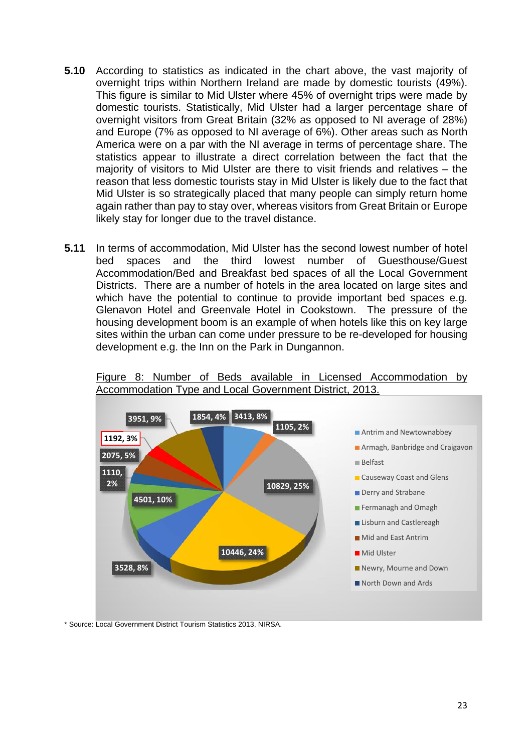- **5.10** According to statistics as indicated in the chart above, the vast majority of overnight trips within Northern Ireland are made by domestic tourists (49%). This figure is similar to Mid Ulster where 45% of overnight trips were made by domestic tourists. Statistically, Mid Ulster had a larger percentage share of overnight visitors from Great Britain (32% as opposed to NI average of 28%) and Europe (7% as opposed to NI average of 6%). Other areas such as North America were on a par with the NI average in terms of percentage share. The statistics appear to illustrate a direct correlation between the fact that the majority of visitors to Mid Ulster are there to visit friends and relatives – the reason that less domestic tourists stay in Mid Ulster is likely due to the fact that Mid Ulster is so strategically placed that many people can simply return home again rather than pay to stay over, whereas visitors from Great Britain or Europe likely stay for longer due to the travel distance.
- **5.11** In terms of accommodation, Mid Ulster has the second lowest number of hotel bed spaces and the third lowest number of Guesthouse/Guest Accommodation/Bed and Breakfast bed spaces of all the Local Government Districts. There are a number of hotels in the area located on large sites and which have the potential to continue to provide important bed spaces e.g. Glenavon Hotel and Greenvale Hotel in Cookstown. The pressure of the housing development boom is an example of when hotels like this on key large sites within the urban can come under pressure to be re-developed for housing development e.g. the Inn on the Park in Dungannon.

Figure 8: Number of Beds available in Licensed Accommodation by Accommodation Type and Local Government District, 2013.

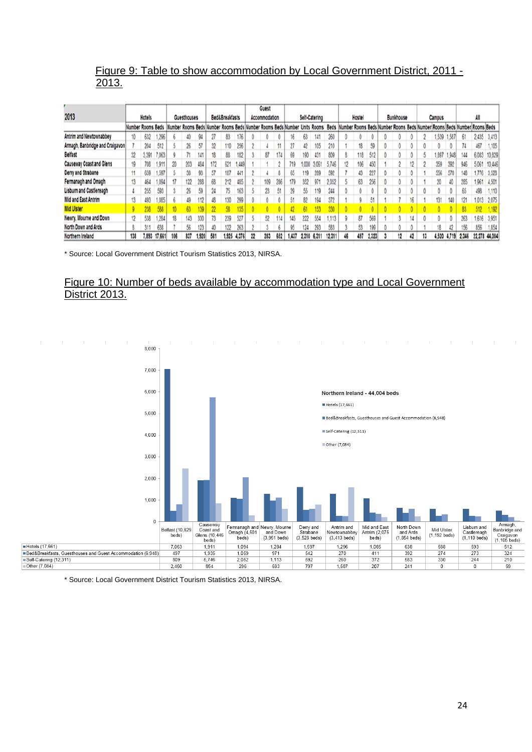#### Figure 9: Table to show accommodation by Local Government District, 2011 - 2013.

|                                 |     |                   |        |     |                    |       |                                     |                |       |    | Guest         |     |                                      |       |               |        |    |        |       |                  |    |                                                                         |        |        |       |               |        |
|---------------------------------|-----|-------------------|--------|-----|--------------------|-------|-------------------------------------|----------------|-------|----|---------------|-----|--------------------------------------|-------|---------------|--------|----|--------|-------|------------------|----|-------------------------------------------------------------------------|--------|--------|-------|---------------|--------|
| 2013                            |     | Hotels            |        |     | <b>Guesthouses</b> |       |                                     | Bed&Breakfasts |       |    | Accommodation |     |                                      |       | Self-Catering |        |    | Hostel |       | <b>Bunkhouse</b> |    |                                                                         | Campus |        |       |               |        |
|                                 |     | Number Rooms Beds |        |     |                    |       | Number Rooms Beds Number Rooms Beds |                |       |    |               |     | Number Rooms Beds Number Units Rooms |       |               | Beds   |    |        |       |                  |    | Number Rooms Beds Number Rooms Beds Number Rooms Beds Number Rooms Beds |        |        |       |               |        |
| Antrim and Newtownabbey         | 10  | 632               | 1,296  |     | 40                 | 94    |                                     | 83             | 176   |    |               |     | 16                                   | 63    | 141           | 260    |    |        |       |                  |    |                                                                         | .539   | 1.58   | 61    | 2.435         | 3.413  |
| Armagh, Banbridge and Craigavon |     | 204               | 512    |     | 26                 | 57    | 32                                  | 110            | 256   |    |               | 11  | 27                                   | 42    | 105           | 210    |    | 18     | 59    |                  |    |                                                                         |        |        |       | 467           | 1,105  |
| <b>Belfast</b>                  | 32  | 3.391             | 7,063  |     |                    | 141   | 18                                  | 88             | 182   |    | 87            | 174 | 69                                   | 190   | 431           | 809    |    | 118    | 512   |                  |    |                                                                         | .897   | 1,948) | 144   | 6.083         | 10,829 |
| Causeway Coast and Glens        | 19  | 708               | 1.911  | 20  | 203                | 484   | 172                                 | 621            | 449   |    |               |     | 719                                  | 1,000 | 3.061         | 5.746  | 12 | 106    | 450   | 2                |    |                                                                         | 359    | 392    | 946   | 5.061         | 10,446 |
| Derry and Strabane              | 11  | 659               | 1.597  |     | 38                 | 93    |                                     | 187            | 441   |    |               |     | 65                                   | 119   | 289           | 592    |    | 43     | 227   |                  |    |                                                                         | 556    | 570    | 148   | 1.776         | 3,528  |
| Fermanagh and Omagh             | 13  | 464               | 1,094  | 17  | 122                | 288   | 68                                  | 212            | 485   |    | 109           | 286 | 179                                  | 352   | 971           | 2.052  |    | 63     | 256   | 0                |    |                                                                         | 20     | 40     | 285   | 1.961         | 4,501  |
| Lisburn and Castlereagh         |     | 255               | 593    |     | 26                 | 59    | 24                                  | 75             | 163   |    | 23.           | 51  | 29                                   | 55    | 119           | 244    |    |        |       |                  |    |                                                                         |        |        |       | 498           | 1,110  |
| Mid and East Antrim             | 13  | 493               | 1,085  | ь   | 49                 | 112   | 48                                  | 130            | 299   |    |               | 0   | 51                                   | 82    | 194           | 372    |    | a      |       |                  |    |                                                                         | 131    | 140    | 121   | 1,013         | 2.075  |
| <b>Mid Ulster</b>               |     | 738               |        |     |                    |       |                                     |                |       |    |               |     |                                      |       |               |        |    |        |       |                  |    |                                                                         |        |        |       |               |        |
| Newry, Mourne and Down          | 12  | 538               | 1,284  | 18  | 143                | 330   |                                     | 239            | 527   |    | 52            | 114 | 145                                  | 222   | 554           | 1.113  |    | 87     | 569   |                  | 14 |                                                                         |        | 0      | 263   | 1.616         | 3.951  |
| North Down and Ards             |     | 311               | 638    |     | 56                 | 123   |                                     | 122            | 263   |    |               |     |                                      | 124   | 293           | 583    |    | 53     | 100   |                  |    |                                                                         | 18     | 42     |       | 856           | 1.854  |
| Northern Ireland                | 138 | 7.893             | 17,661 | 106 | 837                | 1.920 | 581                                 | 1.925          | 4,376 | 22 | 283           | 652 | 1.437                                | 2,310 | 6,311         | 12,311 | 46 | 497    | 2.323 | 12               | 42 | 13                                                                      | 4,520  | 4,719  | 2.346 | 22.278 44,004 |        |

\* Source: Local Government District Tourism Statistics 2013, NIRSA.

#### Figure 10: Number of beds available by accommodation type and Local Government District 2013.



\* Source: Local Government District Tourism Statistics 2013, NIRSA.

Other (7,084)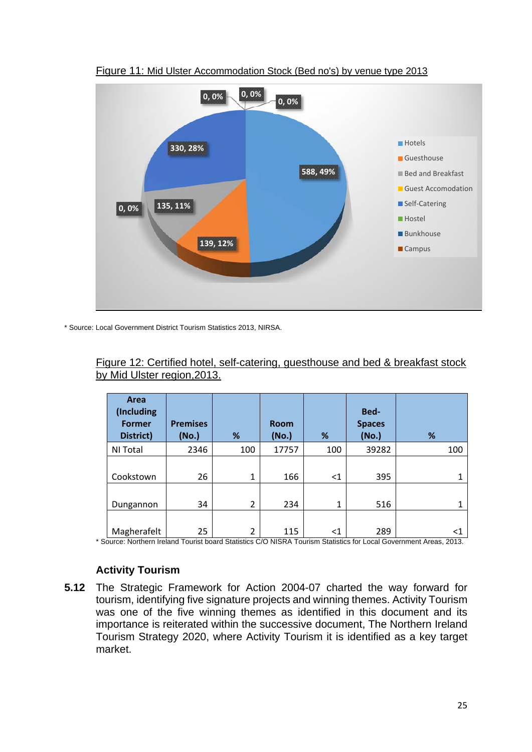

Figure 11: Mid Ulster Accommodation Stock (Bed no's) by venue type 2013

\* Source: Local Government District Tourism Statistics 2013, NIRSA.

| Figure 12: Certified hotel, self-catering, guesthouse and bed & breakfast stock |  |  |  |
|---------------------------------------------------------------------------------|--|--|--|
| by Mid Ulster region, 2013.                                                     |  |  |  |

| <b>Area</b><br>(Including<br><b>Former</b><br>District)                                                                                                                                                                                         | <b>Premises</b><br>(No.)                     | %                          | <b>Room</b><br>(No.)                                                                              | %                              | Bed-<br><b>Spaces</b><br>(No.) | %                              |
|-------------------------------------------------------------------------------------------------------------------------------------------------------------------------------------------------------------------------------------------------|----------------------------------------------|----------------------------|---------------------------------------------------------------------------------------------------|--------------------------------|--------------------------------|--------------------------------|
| NI Total                                                                                                                                                                                                                                        | 2346                                         | 100                        | 17757                                                                                             | 100                            | 39282                          | 100                            |
| Cookstown                                                                                                                                                                                                                                       | 26                                           | $\mathbf{1}$               | 166                                                                                               | $<$ 1                          | 395                            |                                |
| Dungannon                                                                                                                                                                                                                                       | 34                                           | $\overline{2}$             | 234                                                                                               | 1                              | 516                            |                                |
| Magherafelt<br>$\mathbf{r}$ , and the set of the set of the set of the set of the set of the set of the set of the set of the set of the set of the set of the set of the set of the set of the set of the set of the set of the set of the set | 25<br>$\cdot$ $-$<br>$\cdot$ $\cdot$ $\cdot$ | $\overline{2}$<br>$\cdots$ | 115<br>$\begin{array}{c} \n\bullet & \bullet & \bullet & \bullet & \bullet & \bullet \end{array}$ | ${<}1$<br>$\sim$ $\sim$ $\sim$ | 289<br>.<br>$\sim$             | <1<br>$\sim$ $\sim$<br>$- - -$ |

\* Source: Northern Ireland Tourist board Statistics C/O NISRA Tourism Statistics for Local Government Areas, 2013.

## **Activity Tourism**

**5.12** The Strategic Framework for Action 2004-07 charted the way forward for tourism, identifying five signature projects and winning themes. Activity Tourism was one of the five winning themes as identified in this document and its importance is reiterated within the successive document, The Northern Ireland Tourism Strategy 2020, where Activity Tourism it is identified as a key target market.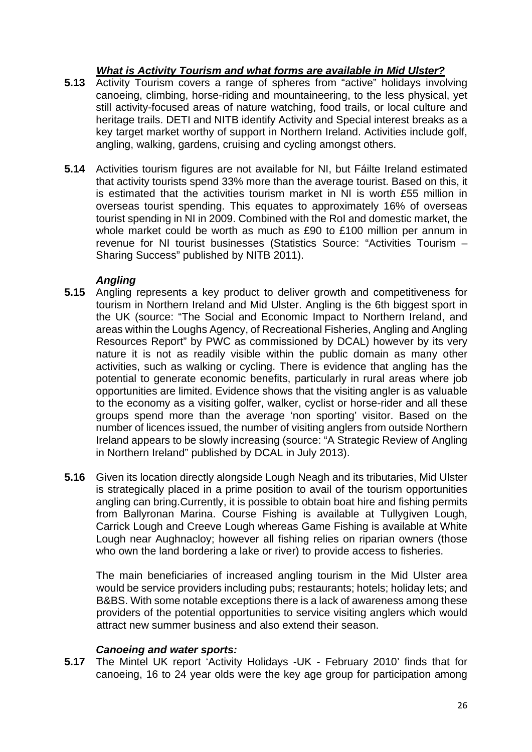## *What is Activity Tourism and what forms are available in Mid Ulster?*

- **5.13** Activity Tourism covers a range of spheres from "active" holidays involving canoeing, climbing, horse-riding and mountaineering, to the less physical, yet still activity-focused areas of nature watching, food trails, or local culture and heritage trails. DETI and NITB identify Activity and Special interest breaks as a key target market worthy of support in Northern Ireland. Activities include golf, angling, walking, gardens, cruising and cycling amongst others.
- **5.14** Activities tourism figures are not available for NI, but Fáilte Ireland estimated that activity tourists spend 33% more than the average tourist. Based on this, it is estimated that the activities tourism market in NI is worth £55 million in overseas tourist spending. This equates to approximately 16% of overseas tourist spending in NI in 2009. Combined with the RoI and domestic market, the whole market could be worth as much as £90 to £100 million per annum in revenue for NI tourist businesses (Statistics Source: "Activities Tourism – Sharing Success" published by NITB 2011).

## *Angling*

- **5.15** Angling represents a key product to deliver growth and competitiveness for tourism in Northern Ireland and Mid Ulster. Angling is the 6th biggest sport in the UK (source: "The Social and Economic Impact to Northern Ireland, and areas within the Loughs Agency, of Recreational Fisheries, Angling and Angling Resources Report" by PWC as commissioned by DCAL) however by its very nature it is not as readily visible within the public domain as many other activities, such as walking or cycling. There is evidence that angling has the potential to generate economic benefits, particularly in rural areas where job opportunities are limited. Evidence shows that the visiting angler is as valuable to the economy as a visiting golfer, walker, cyclist or horse-rider and all these groups spend more than the average 'non sporting' visitor. Based on the number of licences issued, the number of visiting anglers from outside Northern Ireland appears to be slowly increasing (source: "A Strategic Review of Angling in Northern Ireland" published by DCAL in July 2013).
- **5.16** Given its location directly alongside Lough Neagh and its tributaries, Mid Ulster is strategically placed in a prime position to avail of the tourism opportunities angling can bring.Currently, it is possible to obtain boat hire and fishing permits from Ballyronan Marina. Course Fishing is available at Tullygiven Lough, Carrick Lough and Creeve Lough whereas Game Fishing is available at White Lough near Aughnacloy; however all fishing relies on riparian owners (those who own the land bordering a lake or river) to provide access to fisheries.

The main beneficiaries of increased angling tourism in the Mid Ulster area would be service providers including pubs; restaurants; hotels; holiday lets; and B&BS. With some notable exceptions there is a lack of awareness among these providers of the potential opportunities to service visiting anglers which would attract new summer business and also extend their season.

## *Canoeing and water sports:*

**5.17** The Mintel UK report 'Activity Holidays -UK - February 2010' finds that for canoeing, 16 to 24 year olds were the key age group for participation among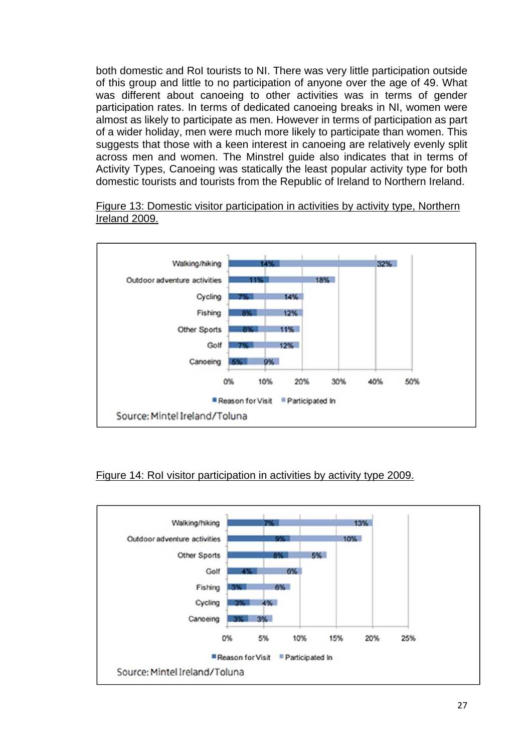both domestic and RoI tourists to NI. There was very little participation outside of this group and little to no participation of anyone over the age of 49. What was different about canoeing to other activities was in terms of gender participation rates. In terms of dedicated canoeing breaks in NI, women were almost as likely to participate as men. However in terms of participation as part of a wider holiday, men were much more likely to participate than women. This suggests that those with a keen interest in canoeing are relatively evenly split across men and women. The Minstrel guide also indicates that in terms of Activity Types, Canoeing was statically the least popular activity type for both domestic tourists and tourists from the Republic of Ireland to Northern Ireland.



Figure 13: Domestic visitor participation in activities by activity type, Northern Ireland 2009.

## Figure 14: RoI visitor participation in activities by activity type 2009.

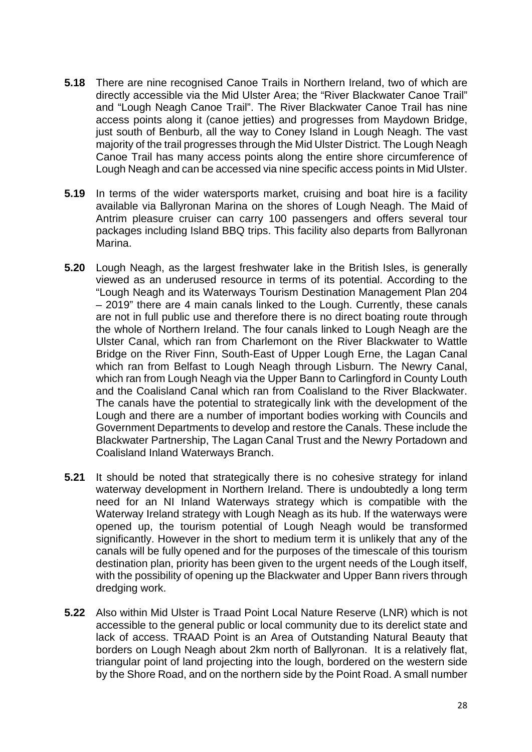- **5.18** There are nine recognised Canoe Trails in Northern Ireland, two of which are directly accessible via the Mid Ulster Area; the "River Blackwater Canoe Trail" and "Lough Neagh Canoe Trail". The River Blackwater Canoe Trail has nine access points along it (canoe jetties) and progresses from Maydown Bridge, just south of Benburb, all the way to Coney Island in Lough Neagh. The vast majority of the trail progresses through the Mid Ulster District. The Lough Neagh Canoe Trail has many access points along the entire shore circumference of Lough Neagh and can be accessed via nine specific access points in Mid Ulster.
- **5.19** In terms of the wider watersports market, cruising and boat hire is a facility available via Ballyronan Marina on the shores of Lough Neagh. The Maid of Antrim pleasure cruiser can carry 100 passengers and offers several tour packages including Island BBQ trips. This facility also departs from Ballyronan Marina.
- **5.20** Lough Neagh, as the largest freshwater lake in the British Isles, is generally viewed as an underused resource in terms of its potential. According to the "Lough Neagh and its Waterways Tourism Destination Management Plan 204 – 2019" there are 4 main canals linked to the Lough. Currently, these canals are not in full public use and therefore there is no direct boating route through the whole of Northern Ireland. The four canals linked to Lough Neagh are the Ulster Canal, which ran from Charlemont on the River Blackwater to Wattle Bridge on the River Finn, South-East of Upper Lough Erne, the Lagan Canal which ran from Belfast to Lough Neagh through Lisburn. The Newry Canal, which ran from Lough Neagh via the Upper Bann to Carlingford in County Louth and the Coalisland Canal which ran from Coalisland to the River Blackwater. The canals have the potential to strategically link with the development of the Lough and there are a number of important bodies working with Councils and Government Departments to develop and restore the Canals. These include the Blackwater Partnership, The Lagan Canal Trust and the Newry Portadown and Coalisland Inland Waterways Branch.
- **5.21** It should be noted that strategically there is no cohesive strategy for inland waterway development in Northern Ireland. There is undoubtedly a long term need for an NI Inland Waterways strategy which is compatible with the Waterway Ireland strategy with Lough Neagh as its hub. If the waterways were opened up, the tourism potential of Lough Neagh would be transformed significantly. However in the short to medium term it is unlikely that any of the canals will be fully opened and for the purposes of the timescale of this tourism destination plan, priority has been given to the urgent needs of the Lough itself, with the possibility of opening up the Blackwater and Upper Bann rivers through dredging work.
- **5.22** Also within Mid Ulster is Traad Point Local Nature Reserve (LNR) which is not accessible to the general public or local community due to its derelict state and lack of access. TRAAD Point is an Area of Outstanding Natural Beauty that borders on Lough Neagh about 2km north of Ballyronan. It is a relatively flat, triangular point of land projecting into the lough, bordered on the western side by the Shore Road, and on the northern side by the Point Road. A small number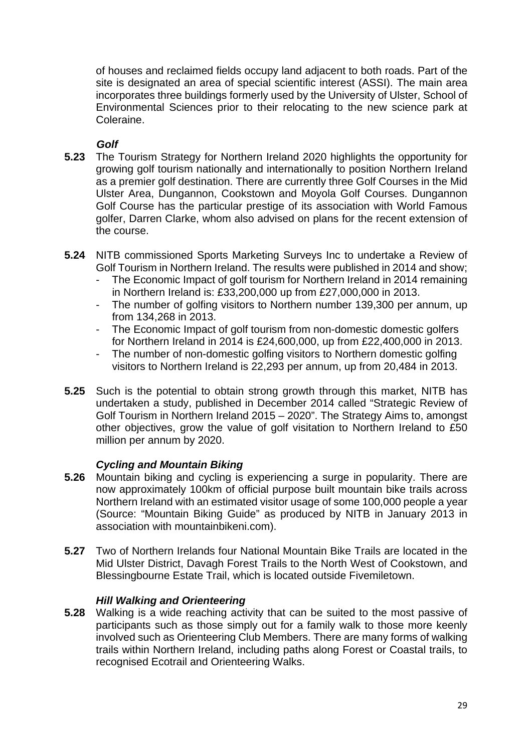of houses and reclaimed fields occupy land adjacent to both roads. Part of the site is designated an area of special scientific interest (ASSI). The main area incorporates three buildings formerly used by the University of Ulster, School of Environmental Sciences prior to their relocating to the new science park at Coleraine.

## *Golf*

- **5.23** The Tourism Strategy for Northern Ireland 2020 highlights the opportunity for growing golf tourism nationally and internationally to position Northern Ireland as a premier golf destination. There are currently three Golf Courses in the Mid Ulster Area, Dungannon, Cookstown and Moyola Golf Courses. Dungannon Golf Course has the particular prestige of its association with World Famous golfer, Darren Clarke, whom also advised on plans for the recent extension of the course.
- **5.24** NITB commissioned Sports Marketing Surveys Inc to undertake a Review of Golf Tourism in Northern Ireland. The results were published in 2014 and show;
	- The Economic Impact of golf tourism for Northern Ireland in 2014 remaining in Northern Ireland is: £33,200,000 up from £27,000,000 in 2013.
	- The number of golfing visitors to Northern number 139,300 per annum, up from 134,268 in 2013.
	- The Economic Impact of golf tourism from non-domestic domestic golfers for Northern Ireland in 2014 is £24,600,000, up from £22,400,000 in 2013.
	- The number of non-domestic golfing visitors to Northern domestic golfing visitors to Northern Ireland is 22,293 per annum, up from 20,484 in 2013.
- **5.25** Such is the potential to obtain strong growth through this market, NITB has undertaken a study, published in December 2014 called "Strategic Review of Golf Tourism in Northern Ireland 2015 – 2020". The Strategy Aims to, amongst other objectives, grow the value of golf visitation to Northern Ireland to £50 million per annum by 2020.

## *Cycling and Mountain Biking*

- **5.26** Mountain biking and cycling is experiencing a surge in popularity. There are now approximately 100km of official purpose built mountain bike trails across Northern Ireland with an estimated visitor usage of some 100,000 people a year (Source: "Mountain Biking Guide" as produced by NITB in January 2013 in association with mountainbikeni.com).
- **5.27** Two of Northern Irelands four National Mountain Bike Trails are located in the Mid Ulster District, Davagh Forest Trails to the North West of Cookstown, and Blessingbourne Estate Trail, which is located outside Fivemiletown.

## *Hill Walking and Orienteering*

**5.28** Walking is a wide reaching activity that can be suited to the most passive of participants such as those simply out for a family walk to those more keenly involved such as Orienteering Club Members. There are many forms of walking trails within Northern Ireland, including paths along Forest or Coastal trails, to recognised Ecotrail and Orienteering Walks.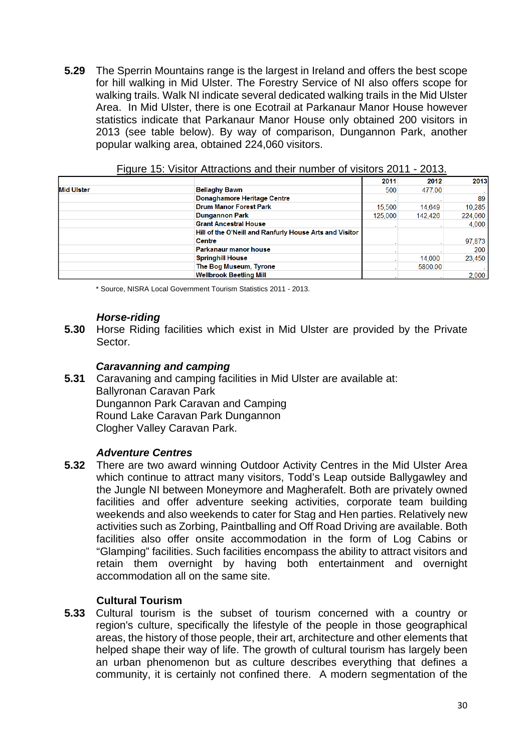**5.29** The Sperrin Mountains range is the largest in Ireland and offers the best scope for hill walking in Mid Ulster. The Forestry Service of NI also offers scope for walking trails. Walk NI indicate several dedicated walking trails in the Mid Ulster Area. In Mid Ulster, there is one Ecotrail at Parkanaur Manor House however statistics indicate that Parkanaur Manor House only obtained 200 visitors in 2013 (see table below). By way of comparison, Dungannon Park, another popular walking area, obtained 224,060 visitors.

|            |                                                         | 2011    | 2012    | 2013    |
|------------|---------------------------------------------------------|---------|---------|---------|
| lid Ulster | <b>Bellaghy Bawn</b>                                    | 500     | 477.00  | $\sim$  |
|            | Donaghamore Heritage Centre                             |         |         | 89      |
|            | <b>Drum Manor Forest Park</b>                           | 15,500  | 14,649  | 10.285  |
|            | <b>Dungannon Park</b>                                   | 125,000 | 142.426 | 224,060 |
|            | <b>Grant Ancestral House</b>                            |         |         | 4.000   |
|            | Hill of the O'Neill and Ranfurly House Arts and Visitor |         |         |         |
|            | <b>Centre</b>                                           |         |         | 97,873  |
|            | <b>Parkanaur manor house</b>                            |         |         | 200     |
|            | <b>Springhill House</b>                                 |         | 14,000  | 23,450  |
|            | The Bog Museum, Tyrone                                  |         | 5800.00 | $\sim$  |
|            | <b>Wellbrook Beetling Mill</b>                          |         |         | 2,000   |

Figure 15: Visitor Attractions and their number of visitors 2011 - 2013.

\* Source, NISRA Local Government Tourism Statistics 2011 - 2013.

#### *Horse-riding*

**5.30** Horse Riding facilities which exist in Mid Ulster are provided by the Private Sector.

#### *Caravanning and camping*

**5.31** Caravaning and camping facilities in Mid Ulster are available at: Ballyronan Caravan Park Dungannon Park Caravan and Camping Round Lake Caravan Park Dungannon Clogher Valley Caravan Park.

## *Adventure Centres*

**5.32** There are two award winning Outdoor Activity Centres in the Mid Ulster Area which continue to attract many visitors, Todd's Leap outside Ballygawley and the Jungle NI between Moneymore and Magherafelt. Both are privately owned facilities and offer adventure seeking activities, corporate team building weekends and also weekends to cater for Stag and Hen parties. Relatively new activities such as Zorbing, Paintballing and Off Road Driving are available. Both facilities also offer onsite accommodation in the form of Log Cabins or "Glamping" facilities. Such facilities encompass the ability to attract visitors and retain them overnight by having both entertainment and overnight accommodation all on the same site.

## **Cultural Tourism**

**5.33** Cultural tourism is the subset of tourism concerned with a country or region's culture, specifically the lifestyle of the people in those geographical areas, the history of those people, their art, architecture and other elements that helped shape their way of life. The growth of cultural tourism has largely been an urban phenomenon but as culture describes everything that defines a community, it is certainly not confined there. A modern segmentation of the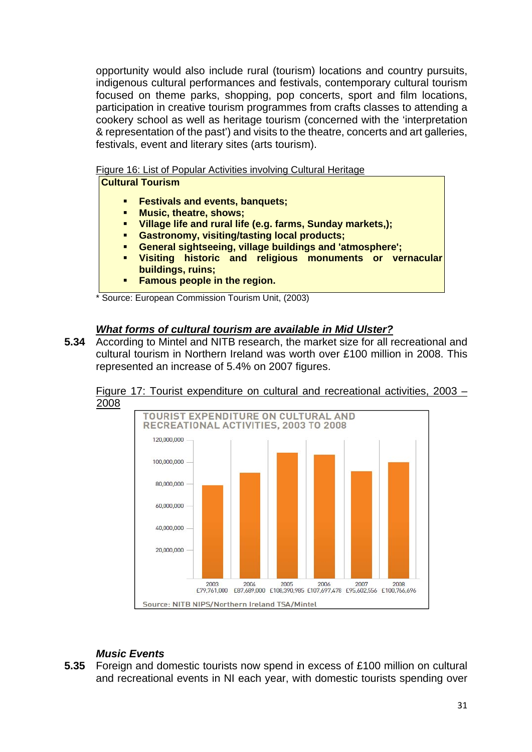opportunity would also include rural (tourism) locations and country pursuits, indigenous cultural performances and festivals, contemporary cultural tourism focused on theme parks, shopping, pop concerts, sport and film locations, participation in creative tourism programmes from crafts classes to attending a cookery school as well as heritage tourism (concerned with the 'interpretation & representation of the past') and visits to the theatre, concerts and art galleries, festivals, event and literary sites (arts tourism).

Figure 16: List of Popular Activities involving Cultural Heritage

- **Festivals and events, banquets;**
- **Music, theatre, shows;**
- **Village life and rural life (e.g. farms, Sunday markets,);**
- **Gastronomy, visiting/tasting local products;**
- **General sightseeing, village buildings and 'atmosphere';**
- **Visiting historic and religious monuments or vernacular buildings, ruins;**
- **Famous people in the region.**

\* Source: European Commission Tourism Unit, (2003)

## *What forms of cultural tourism are available in Mid Ulster?*

**5.34** According to Mintel and NITB research, the market size for all recreational and cultural tourism in Northern Ireland was worth over £100 million in 2008. This represented an increase of 5.4% on 2007 figures.



Figure 17: Tourist expenditure on cultural and recreational activities, 2003 – 2008

## *Music Events*

**5.35** Foreign and domestic tourists now spend in excess of £100 million on cultural and recreational events in NI each year, with domestic tourists spending over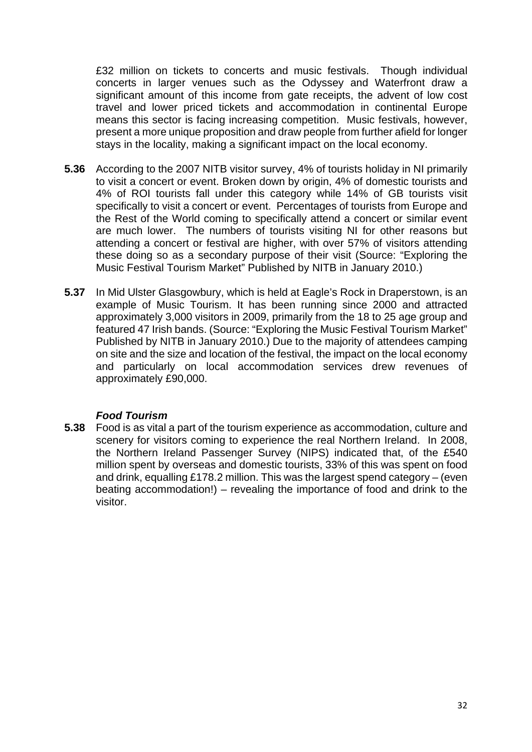£32 million on tickets to concerts and music festivals. Though individual concerts in larger venues such as the Odyssey and Waterfront draw a significant amount of this income from gate receipts, the advent of low cost travel and lower priced tickets and accommodation in continental Europe means this sector is facing increasing competition. Music festivals, however, present a more unique proposition and draw people from further afield for longer stays in the locality, making a significant impact on the local economy.

- **5.36** According to the 2007 NITB visitor survey, 4% of tourists holiday in NI primarily to visit a concert or event. Broken down by origin, 4% of domestic tourists and 4% of ROI tourists fall under this category while 14% of GB tourists visit specifically to visit a concert or event. Percentages of tourists from Europe and the Rest of the World coming to specifically attend a concert or similar event are much lower. The numbers of tourists visiting NI for other reasons but attending a concert or festival are higher, with over 57% of visitors attending these doing so as a secondary purpose of their visit (Source: "Exploring the Music Festival Tourism Market" Published by NITB in January 2010.)
- **5.37** In Mid Ulster Glasgowbury, which is held at Eagle's Rock in Draperstown, is an example of Music Tourism. It has been running since 2000 and attracted approximately 3,000 visitors in 2009, primarily from the 18 to 25 age group and featured 47 Irish bands. (Source: "Exploring the Music Festival Tourism Market" Published by NITB in January 2010.) Due to the majority of attendees camping on site and the size and location of the festival, the impact on the local economy and particularly on local accommodation services drew revenues of approximately £90,000.

## *Food Tourism*

**5.38** Food is as vital a part of the tourism experience as accommodation, culture and scenery for visitors coming to experience the real Northern Ireland. In 2008, the Northern Ireland Passenger Survey (NIPS) indicated that, of the £540 million spent by overseas and domestic tourists, 33% of this was spent on food and drink, equalling £178.2 million. This was the largest spend category – (even beating accommodation!) – revealing the importance of food and drink to the visitor.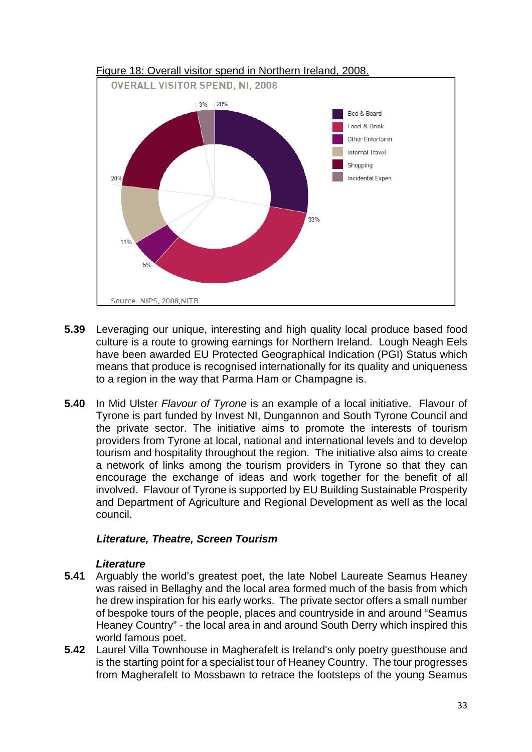

- **5.39** Leveraging our unique, interesting and high quality local produce based food culture is a route to growing earnings for Northern Ireland. Lough Neagh Eels have been awarded EU Protected Geographical Indication (PGI) Status which means that produce is recognised internationally for its quality and uniqueness to a region in the way that Parma Ham or Champagne is.
- **5.40** In Mid Ulster *Flavour of Tyrone* is an example of a local initiative. Flavour of Tyrone is part funded by Invest NI, Dungannon and South Tyrone Council and the private sector. The initiative aims to promote the interests of tourism providers from Tyrone at local, national and international levels and to develop tourism and hospitality throughout the region. The initiative also aims to create a network of links among the tourism providers in Tyrone so that they can encourage the exchange of ideas and work together for the benefit of all involved. Flavour of Tyrone is supported by EU Building Sustainable Prosperity and Department of Agriculture and Regional Development as well as the local council.

## *Literature, Theatre, Screen Tourism*

## *Literature*

- **5.41** Arguably the world's greatest poet, the late Nobel Laureate Seamus Heaney was raised in Bellaghy and the local area formed much of the basis from which he drew inspiration for his early works. The private sector offers a small number of bespoke tours of the people, places and countryside in and around "Seamus Heaney Country" - the local area in and around South Derry which inspired this world famous poet.
- **5.42** Laurel Villa Townhouse in Magherafelt is Ireland's only poetry guesthouse and is the starting point for a specialist tour of Heaney Country. The tour progresses from Magherafelt to Mossbawn to retrace the footsteps of the young Seamus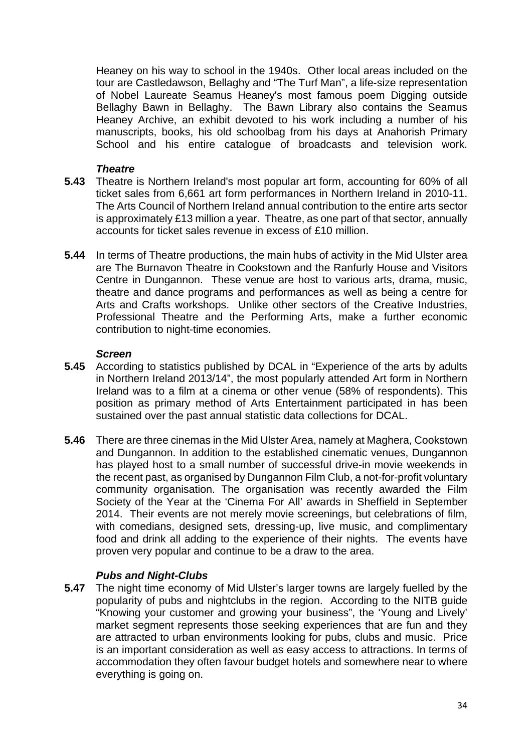Heaney on his way to school in the 1940s. Other local areas included on the tour are Castledawson, Bellaghy and "The Turf Man", a life-size representation of Nobel Laureate Seamus Heaney's most famous poem Digging outside Bellaghy Bawn in Bellaghy. The Bawn Library also contains the Seamus Heaney Archive, an exhibit devoted to his work including a number of his manuscripts, books, his old schoolbag from his days at Anahorish Primary School and his entire catalogue of broadcasts and television work.

## *Theatre*

- **5.43** Theatre is Northern Ireland's most popular art form, accounting for 60% of all ticket sales from 6,661 art form performances in Northern Ireland in 2010-11. The Arts Council of Northern Ireland annual contribution to the entire arts sector is approximately £13 million a year. Theatre, as one part of that sector, annually accounts for ticket sales revenue in excess of £10 million.
- **5.44** In terms of Theatre productions, the main hubs of activity in the Mid Ulster area are The Burnavon Theatre in Cookstown and the Ranfurly House and Visitors Centre in Dungannon. These venue are host to various arts, drama, music, theatre and dance programs and performances as well as being a centre for Arts and Crafts workshops. Unlike other sectors of the Creative Industries, Professional Theatre and the Performing Arts, make a further economic contribution to night-time economies.

## *Screen*

- **5.45** According to statistics published by DCAL in "Experience of the arts by adults in Northern Ireland 2013/14", the most popularly attended Art form in Northern Ireland was to a film at a cinema or other venue (58% of respondents). This position as primary method of Arts Entertainment participated in has been sustained over the past annual statistic data collections for DCAL.
- **5.46** There are three cinemas in the Mid Ulster Area, namely at Maghera, Cookstown and Dungannon. In addition to the established cinematic venues, Dungannon has played host to a small number of successful drive-in movie weekends in the recent past, as organised by Dungannon Film Club, a not-for-profit voluntary community organisation. The organisation was recently awarded the Film Society of the Year at the 'Cinema For All' awards in Sheffield in September 2014. Their events are not merely movie screenings, but celebrations of film, with comedians, designed sets, dressing-up, live music, and complimentary food and drink all adding to the experience of their nights. The events have proven very popular and continue to be a draw to the area.

## *Pubs and Night-Clubs*

**5.47** The night time economy of Mid Ulster's larger towns are largely fuelled by the popularity of pubs and nightclubs in the region. According to the NITB guide "Knowing your customer and growing your business", the 'Young and Lively' market segment represents those seeking experiences that are fun and they are attracted to urban environments looking for pubs, clubs and music. Price is an important consideration as well as easy access to attractions. In terms of accommodation they often favour budget hotels and somewhere near to where everything is going on.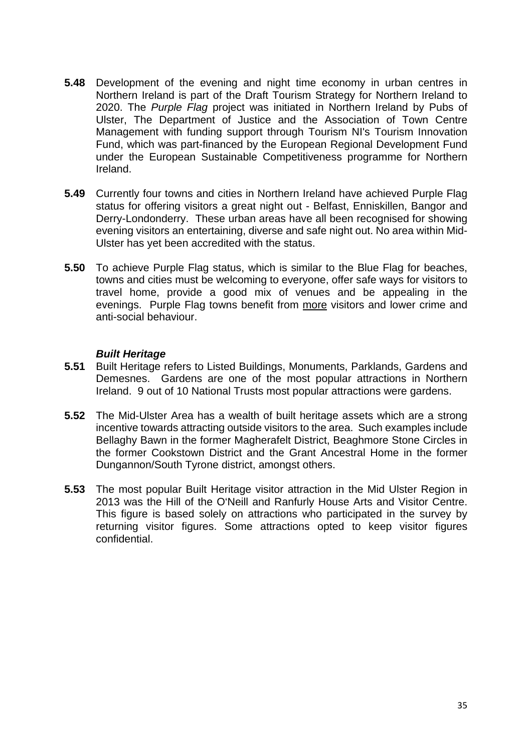- **5.48** Development of the evening and night time economy in urban centres in Northern Ireland is part of the Draft Tourism Strategy for Northern Ireland to 2020. The *Purple Flag* project was initiated in Northern Ireland by Pubs of Ulster, The Department of Justice and the Association of Town Centre Management with funding support through Tourism NI's Tourism Innovation Fund, which was part-financed by the European Regional Development Fund under the European Sustainable Competitiveness programme for Northern Ireland.
- **5.49** Currently four towns and cities in Northern Ireland have achieved Purple Flag status for offering visitors a great night out - Belfast, Enniskillen, Bangor and Derry-Londonderry. These urban areas have all been recognised for showing evening visitors an entertaining, diverse and safe night out. No area within Mid-Ulster has yet been accredited with the status.
- **5.50** To achieve Purple Flag status, which is similar to the Blue Flag for beaches, towns and cities must be welcoming to everyone, offer safe ways for visitors to travel home, provide a good mix of venues and be appealing in the evenings. Purple Flag towns benefit from more visitors and lower crime and anti-social behaviour.

#### *Built Heritage*

- **5.51** Built Heritage refers to Listed Buildings, Monuments, Parklands, Gardens and Demesnes. Gardens are one of the most popular attractions in Northern Ireland. 9 out of 10 National Trusts most popular attractions were gardens.
- **5.52** The Mid-Ulster Area has a wealth of built heritage assets which are a strong incentive towards attracting outside visitors to the area. Such examples include Bellaghy Bawn in the former Magherafelt District, Beaghmore Stone Circles in the former Cookstown District and the Grant Ancestral Home in the former Dungannon/South Tyrone district, amongst others.
- **5.53** The most popular Built Heritage visitor attraction in the Mid Ulster Region in 2013 was the Hill of the O'Neill and Ranfurly House Arts and Visitor Centre. This figure is based solely on attractions who participated in the survey by returning visitor figures. Some attractions opted to keep visitor figures confidential.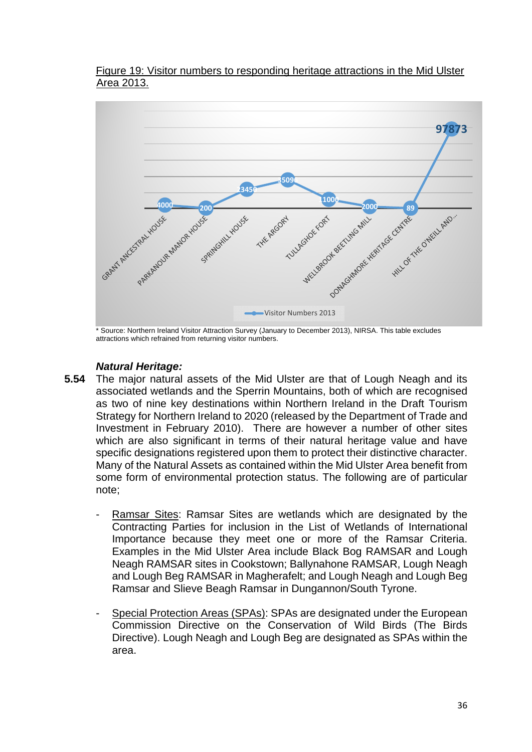#### Figure 19: Visitor numbers to responding heritage attractions in the Mid Ulster Area 2013.



Source: Northern Ireland Visitor Attraction Survey (January to December 2013), NIRSA. This table excludes attractions which refrained from returning visitor numbers.

## *Natural Heritage:*

- **5.54** The major natural assets of the Mid Ulster are that of Lough Neagh and its associated wetlands and the Sperrin Mountains, both of which are recognised as two of nine key destinations within Northern Ireland in the Draft Tourism Strategy for Northern Ireland to 2020 (released by the Department of Trade and Investment in February 2010). There are however a number of other sites which are also significant in terms of their natural heritage value and have specific designations registered upon them to protect their distinctive character. Many of the Natural Assets as contained within the Mid Ulster Area benefit from some form of environmental protection status. The following are of particular note;
	- Ramsar Sites: Ramsar Sites are wetlands which are designated by the Contracting Parties for inclusion in the List of Wetlands of International Importance because they meet one or more of the Ramsar Criteria. Examples in the Mid Ulster Area include Black Bog RAMSAR and Lough Neagh RAMSAR sites in Cookstown; Ballynahone RAMSAR, Lough Neagh and Lough Beg RAMSAR in Magherafelt; and Lough Neagh and Lough Beg Ramsar and Slieve Beagh Ramsar in Dungannon/South Tyrone.
	- Special Protection Areas (SPAs): SPAs are designated under the European Commission Directive on the Conservation of Wild Birds (The Birds Directive). Lough Neagh and Lough Beg are designated as SPAs within the area.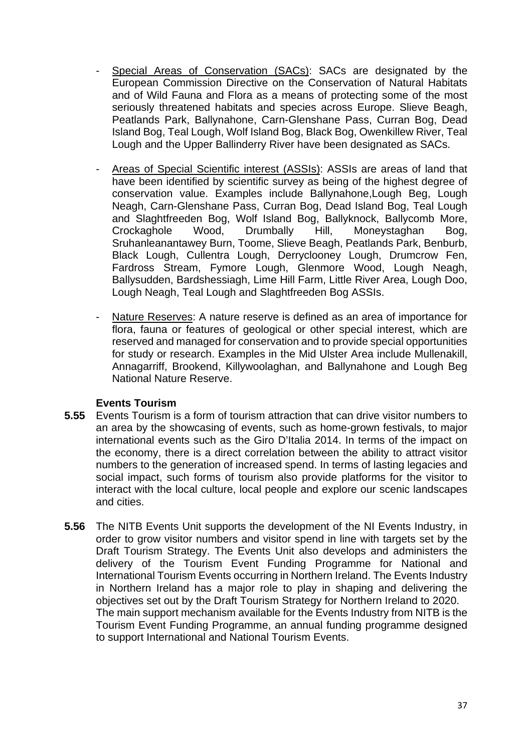- Special Areas of Conservation (SACs): SACs are designated by the European Commission Directive on the Conservation of Natural Habitats and of Wild Fauna and Flora as a means of protecting some of the most seriously threatened habitats and species across Europe. Slieve Beagh, Peatlands Park, Ballynahone, Carn-Glenshane Pass, Curran Bog, Dead Island Bog, Teal Lough, Wolf Island Bog, Black Bog, Owenkillew River, Teal Lough and the Upper Ballinderry River have been designated as SACs.
- Areas of Special Scientific interest (ASSIs): ASSIs are areas of land that have been identified by scientific survey as being of the highest degree of conservation value. Examples include Ballynahone,Lough Beg, Lough Neagh, Carn-Glenshane Pass, Curran Bog, Dead Island Bog, Teal Lough and Slaghtfreeden Bog, Wolf Island Bog, Ballyknock, Ballycomb More, Crockaghole Wood, Drumbally Hill, Moneystaghan Bog, Sruhanleanantawey Burn, Toome, Slieve Beagh, Peatlands Park, Benburb, Black Lough, Cullentra Lough, Derryclooney Lough, Drumcrow Fen, Fardross Stream, Fymore Lough, Glenmore Wood, Lough Neagh, Ballysudden, Bardshessiagh, Lime Hill Farm, Little River Area, Lough Doo, Lough Neagh, Teal Lough and Slaghtfreeden Bog ASSIs.
- Nature Reserves: A nature reserve is defined as an area of importance for flora, fauna or features of geological or other special interest, which are reserved and managed for conservation and to provide special opportunities for study or research. Examples in the Mid Ulster Area include Mullenakill, Annagarriff, Brookend, Killywoolaghan, and Ballynahone and Lough Beg National Nature Reserve.

## **Events Tourism**

- **5.55** Events Tourism is a form of tourism attraction that can drive visitor numbers to an area by the showcasing of events, such as home-grown festivals, to major international events such as the Giro D'Italia 2014. In terms of the impact on the economy, there is a direct correlation between the ability to attract visitor numbers to the generation of increased spend. In terms of lasting legacies and social impact, such forms of tourism also provide platforms for the visitor to interact with the local culture, local people and explore our scenic landscapes and cities.
- **5.56** The NITB Events Unit supports the development of the NI Events Industry, in order to grow visitor numbers and visitor spend in line with targets set by the Draft Tourism Strategy. The Events Unit also develops and administers the delivery of the Tourism Event Funding Programme for National and International Tourism Events occurring in Northern Ireland. The Events Industry in Northern Ireland has a major role to play in shaping and delivering the objectives set out by the Draft Tourism Strategy for Northern Ireland to 2020. The main support mechanism available for the Events Industry from NITB is the Tourism Event Funding Programme, an annual funding programme designed to support International and National Tourism Events.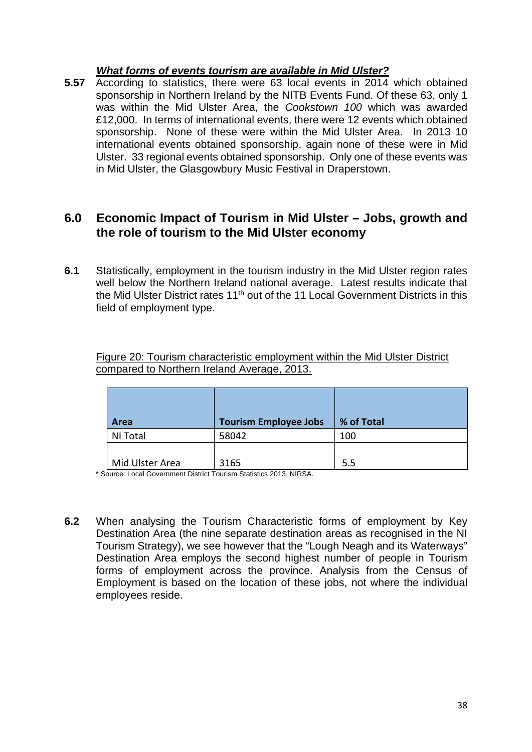## *What forms of events tourism are available in Mid Ulster?*

**5.57** According to statistics, there were 63 local events in 2014 which obtained sponsorship in Northern Ireland by the NITB Events Fund. Of these 63, only 1 was within the Mid Ulster Area, the *Cookstown 100* which was awarded £12,000. In terms of international events, there were 12 events which obtained sponsorship. None of these were within the Mid Ulster Area. In 2013 10 international events obtained sponsorship, again none of these were in Mid Ulster. 33 regional events obtained sponsorship. Only one of these events was in Mid Ulster, the Glasgowbury Music Festival in Draperstown.

## **6.0 Economic Impact of Tourism in Mid Ulster – Jobs, growth and the role of tourism to the Mid Ulster economy**

**6.1** Statistically, employment in the tourism industry in the Mid Ulster region rates well below the Northern Ireland national average. Latest results indicate that the Mid Ulster District rates 11<sup>th</sup> out of the 11 Local Government Districts in this field of employment type.

| Figure 20: Tourism characteristic employment within the Mid Ulster District |  |  |  |
|-----------------------------------------------------------------------------|--|--|--|
| compared to Northern Ireland Average, 2013.                                 |  |  |  |

| Area            | <b>Tourism Employee Jobs</b> | % of Total |
|-----------------|------------------------------|------------|
| NI Total        | 58042                        | 100        |
| Mid Ulster Area | 3165                         | 5.5        |

\* Source: Local Government District Tourism Statistics 2013, NIRSA.

**6.2** When analysing the Tourism Characteristic forms of employment by Key Destination Area (the nine separate destination areas as recognised in the NI Tourism Strategy), we see however that the "Lough Neagh and its Waterways" Destination Area employs the second highest number of people in Tourism forms of employment across the province. Analysis from the Census of Employment is based on the location of these jobs, not where the individual employees reside.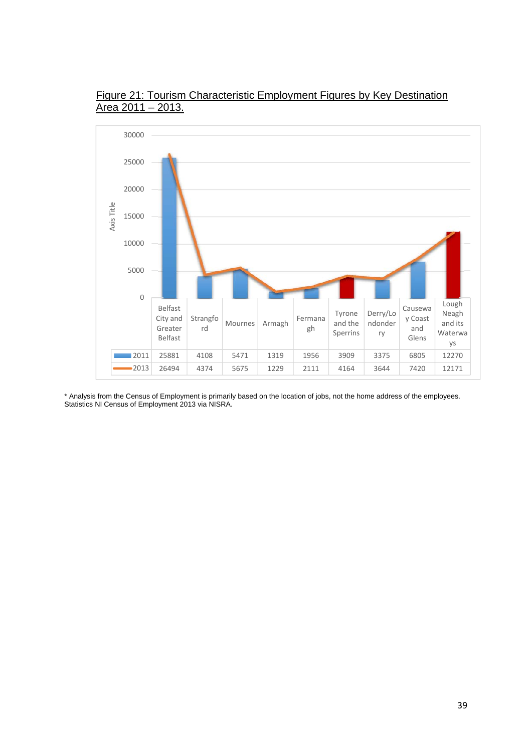

Figure 21: Tourism Characteristic Employment Figures by Key Destination Area 2011 – 2013.

\* Analysis from the Census of Employment is primarily based on the location of jobs, not the home address of the employees. Statistics NI Census of Employment 2013 via NISRA.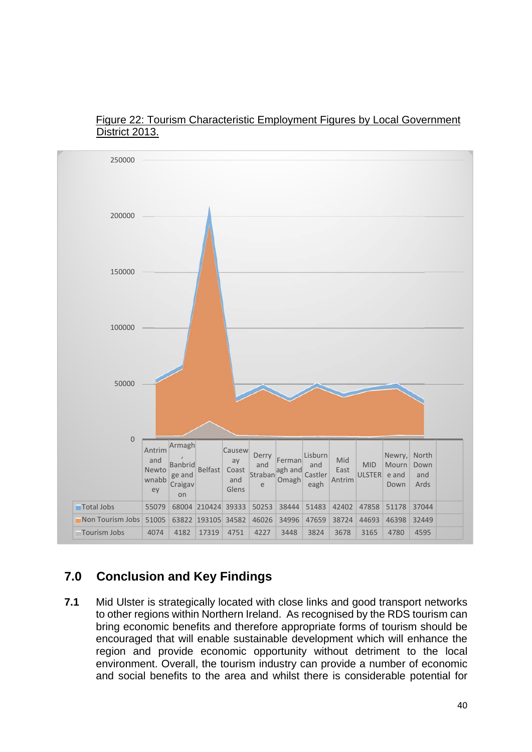



## **7.0 Conclusion and Key Findings**

**7.1** Mid Ulster is strategically located with close links and good transport networks to other regions within Northern Ireland. As recognised by the RDS tourism can bring economic benefits and therefore appropriate forms of tourism should be encouraged that will enable sustainable development which will enhance the region and provide economic opportunity without detriment to the local environment. Overall, the tourism industry can provide a number of economic and social benefits to the area and whilst there is considerable potential for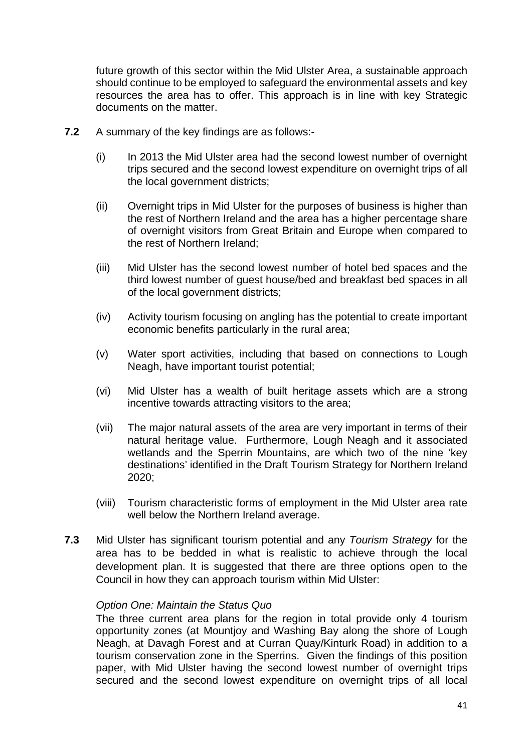future growth of this sector within the Mid Ulster Area, a sustainable approach should continue to be employed to safeguard the environmental assets and key resources the area has to offer. This approach is in line with key Strategic documents on the matter.

- **7.2** A summary of the key findings are as follows:-
	- (i) In 2013 the Mid Ulster area had the second lowest number of overnight trips secured and the second lowest expenditure on overnight trips of all the local government districts;
	- (ii) Overnight trips in Mid Ulster for the purposes of business is higher than the rest of Northern Ireland and the area has a higher percentage share of overnight visitors from Great Britain and Europe when compared to the rest of Northern Ireland;
	- (iii) Mid Ulster has the second lowest number of hotel bed spaces and the third lowest number of guest house/bed and breakfast bed spaces in all of the local government districts;
	- (iv) Activity tourism focusing on angling has the potential to create important economic benefits particularly in the rural area;
	- (v) Water sport activities, including that based on connections to Lough Neagh, have important tourist potential;
	- (vi) Mid Ulster has a wealth of built heritage assets which are a strong incentive towards attracting visitors to the area;
	- (vii) The major natural assets of the area are very important in terms of their natural heritage value. Furthermore, Lough Neagh and it associated wetlands and the Sperrin Mountains, are which two of the nine 'key destinations' identified in the Draft Tourism Strategy for Northern Ireland 2020;
	- (viii) Tourism characteristic forms of employment in the Mid Ulster area rate well below the Northern Ireland average.
- **7.3** Mid Ulster has significant tourism potential and any *Tourism Strategy* for the area has to be bedded in what is realistic to achieve through the local development plan. It is suggested that there are three options open to the Council in how they can approach tourism within Mid Ulster:

#### *Option One: Maintain the Status Quo*

The three current area plans for the region in total provide only 4 tourism opportunity zones (at Mountjoy and Washing Bay along the shore of Lough Neagh, at Davagh Forest and at Curran Quay/Kinturk Road) in addition to a tourism conservation zone in the Sperrins. Given the findings of this position paper, with Mid Ulster having the second lowest number of overnight trips secured and the second lowest expenditure on overnight trips of all local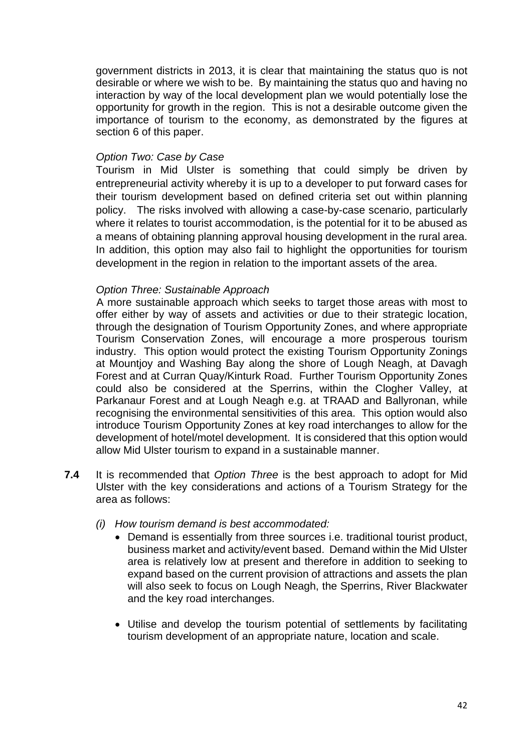government districts in 2013, it is clear that maintaining the status quo is not desirable or where we wish to be. By maintaining the status quo and having no interaction by way of the local development plan we would potentially lose the opportunity for growth in the region. This is not a desirable outcome given the importance of tourism to the economy, as demonstrated by the figures at section 6 of this paper.

#### *Option Two: Case by Case*

Tourism in Mid Ulster is something that could simply be driven by entrepreneurial activity whereby it is up to a developer to put forward cases for their tourism development based on defined criteria set out within planning policy. The risks involved with allowing a case-by-case scenario, particularly where it relates to tourist accommodation, is the potential for it to be abused as a means of obtaining planning approval housing development in the rural area. In addition, this option may also fail to highlight the opportunities for tourism development in the region in relation to the important assets of the area.

#### *Option Three: Sustainable Approach*

A more sustainable approach which seeks to target those areas with most to offer either by way of assets and activities or due to their strategic location, through the designation of Tourism Opportunity Zones, and where appropriate Tourism Conservation Zones, will encourage a more prosperous tourism industry. This option would protect the existing Tourism Opportunity Zonings at Mountjoy and Washing Bay along the shore of Lough Neagh, at Davagh Forest and at Curran Quay/Kinturk Road. Further Tourism Opportunity Zones could also be considered at the Sperrins, within the Clogher Valley, at Parkanaur Forest and at Lough Neagh e.g. at TRAAD and Ballyronan, while recognising the environmental sensitivities of this area. This option would also introduce Tourism Opportunity Zones at key road interchanges to allow for the development of hotel/motel development. It is considered that this option would allow Mid Ulster tourism to expand in a sustainable manner.

- **7.4** It is recommended that *Option Three* is the best approach to adopt for Mid Ulster with the key considerations and actions of a Tourism Strategy for the area as follows:
	- *(i) How tourism demand is best accommodated:* 
		- Demand is essentially from three sources *i.e.* traditional tourist product, business market and activity/event based. Demand within the Mid Ulster area is relatively low at present and therefore in addition to seeking to expand based on the current provision of attractions and assets the plan will also seek to focus on Lough Neagh, the Sperrins, River Blackwater and the key road interchanges.
		- Utilise and develop the tourism potential of settlements by facilitating tourism development of an appropriate nature, location and scale.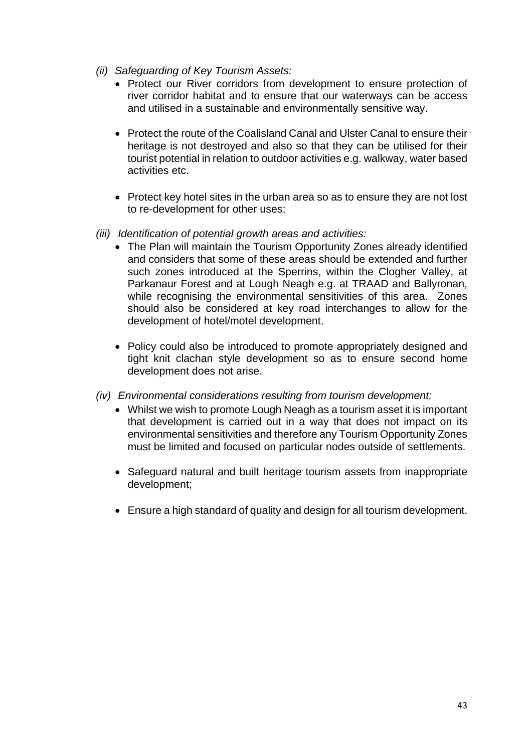- *(ii) Safeguarding of Key Tourism Assets:* 
	- Protect our River corridors from development to ensure protection of river corridor habitat and to ensure that our waterways can be access and utilised in a sustainable and environmentally sensitive way.
	- Protect the route of the Coalisland Canal and Ulster Canal to ensure their heritage is not destroyed and also so that they can be utilised for their tourist potential in relation to outdoor activities e.g. walkway, water based activities etc.
	- Protect key hotel sites in the urban area so as to ensure they are not lost to re-development for other uses;
- *(iii) Identification of potential growth areas and activities:*
	- The Plan will maintain the Tourism Opportunity Zones already identified and considers that some of these areas should be extended and further such zones introduced at the Sperrins, within the Clogher Valley, at Parkanaur Forest and at Lough Neagh e.g. at TRAAD and Ballyronan, while recognising the environmental sensitivities of this area. Zones should also be considered at key road interchanges to allow for the development of hotel/motel development.
	- Policy could also be introduced to promote appropriately designed and tight knit clachan style development so as to ensure second home development does not arise.
- *(iv) Environmental considerations resulting from tourism development:*
	- Whilst we wish to promote Lough Neagh as a tourism asset it is important that development is carried out in a way that does not impact on its environmental sensitivities and therefore any Tourism Opportunity Zones must be limited and focused on particular nodes outside of settlements.
	- Safeguard natural and built heritage tourism assets from inappropriate development;
	- Ensure a high standard of quality and design for all tourism development.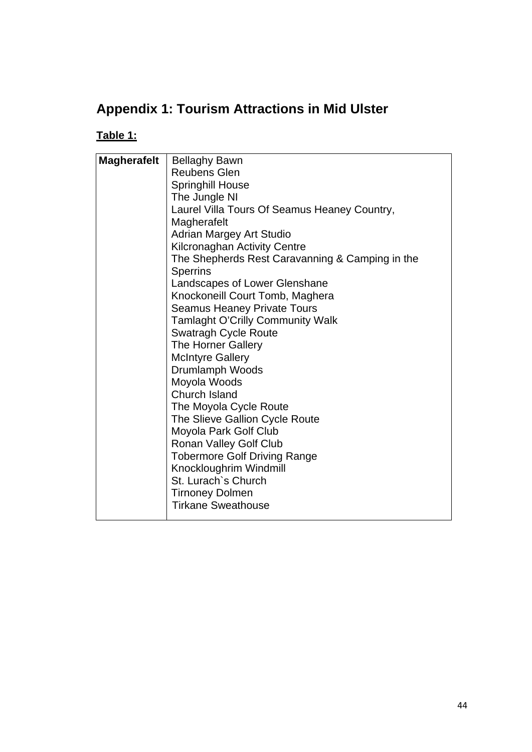# **Appendix 1: Tourism Attractions in Mid Ulster**

# **Table 1:**

| <b>Magherafelt</b> | <b>Bellaghy Bawn</b>                            |
|--------------------|-------------------------------------------------|
|                    | <b>Reubens Glen</b>                             |
|                    | <b>Springhill House</b>                         |
|                    | The Jungle NI                                   |
|                    | Laurel Villa Tours Of Seamus Heaney Country,    |
|                    | Magherafelt                                     |
|                    | <b>Adrian Margey Art Studio</b>                 |
|                    | <b>Kilcronaghan Activity Centre</b>             |
|                    | The Shepherds Rest Caravanning & Camping in the |
|                    | <b>Sperrins</b>                                 |
|                    | Landscapes of Lower Glenshane                   |
|                    | Knockoneill Court Tomb, Maghera                 |
|                    | <b>Seamus Heaney Private Tours</b>              |
|                    | <b>Tamlaght O'Crilly Community Walk</b>         |
|                    | <b>Swatragh Cycle Route</b>                     |
|                    | The Horner Gallery                              |
|                    | <b>McIntyre Gallery</b>                         |
|                    | Drumlamph Woods                                 |
|                    | Moyola Woods                                    |
|                    | <b>Church Island</b>                            |
|                    | The Moyola Cycle Route                          |
|                    | The Slieve Gallion Cycle Route                  |
|                    | Moyola Park Golf Club                           |
|                    | Ronan Valley Golf Club                          |
|                    | <b>Tobermore Golf Driving Range</b>             |
|                    | Knockloughrim Windmill                          |
|                    | St. Lurach's Church                             |
|                    | <b>Tirnoney Dolmen</b>                          |
|                    | <b>Tirkane Sweathouse</b>                       |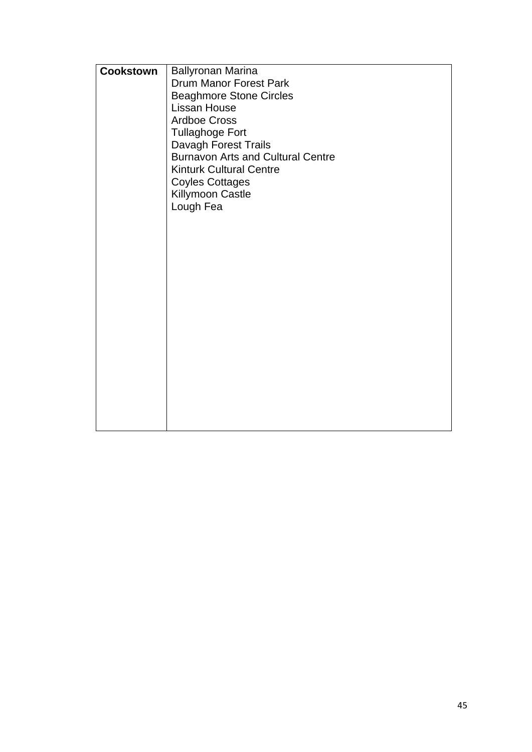| <b>Cookstown</b> | <b>Ballyronan Marina</b>                 |
|------------------|------------------------------------------|
|                  | Drum Manor Forest Park                   |
|                  | <b>Beaghmore Stone Circles</b>           |
|                  | <b>Lissan House</b>                      |
|                  | <b>Ardboe Cross</b>                      |
|                  | <b>Tullaghoge Fort</b>                   |
|                  | Davagh Forest Trails                     |
|                  | <b>Burnavon Arts and Cultural Centre</b> |
|                  | <b>Kinturk Cultural Centre</b>           |
|                  | <b>Coyles Cottages</b>                   |
|                  | Killymoon Castle                         |
|                  | Lough Fea                                |
|                  |                                          |
|                  |                                          |
|                  |                                          |
|                  |                                          |
|                  |                                          |
|                  |                                          |
|                  |                                          |
|                  |                                          |
|                  |                                          |
|                  |                                          |
|                  |                                          |
|                  |                                          |
|                  |                                          |
|                  |                                          |
|                  |                                          |
|                  |                                          |
|                  |                                          |
|                  |                                          |